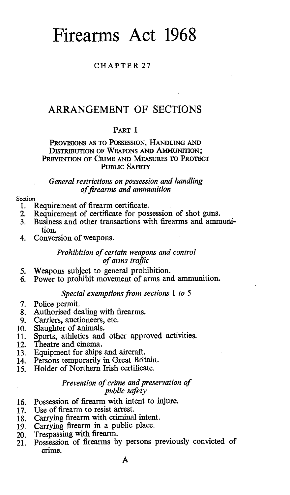## Firearms Act 1968

#### CHAPTER 27

#### ARRANGEMENT OF SECTIONS

#### PART I

#### PROVISIONS AS TO POSSESSION, HANDLING AND DISTRIBUTION OF WEAPONS AND AMMUNITION; PREVENTION OF CRIME AND MEASURES TO PROTECT PUBLIC SAFETY

### General restrictions on possession and handling<br>of firearms and ammunition

#### Section

- 1. Requirement of firearm certificate.<br>2. Requirement of certificate for pos
- Requirement of certificate for possession of shot guns.
- 3. Business and other transactions with firearms and ammunition.
- 4. Conversion of weapons.

#### Prohibition of certain weapons and control of arms traffic

- 5. Weapons subject to general prohibition.
- 6. Power to prohibit movement of arms and ammunition.

#### Special exemptions from sections 1 to 5

- 7. Police permit.
- 8. Authorised dealing with firearms.
- 9. Carriers, auctioneers, etc.
- 10. Slaughter of animals.<br>11. Sports, athletics and
- Sports, athletics and other approved activities.
- 12. Theatre and cinema.
- 13. Equipment for ships and aircraft.
- 14. Persons temporarily in Great Britain.
- 15. Holder of Northern Irish certificate.

#### Prevention of crime and preservation of public safety

- 16. Possession of firearm with intent to injure.
- 17. Use of firearm to resist arrest.
- 18. Carrying firearm with criminal intent.<br>19. Carrying firearm in a public place.
- Carrying firearm in a public place.
- 
- 20. Trespassing with firearm.<br>21. Possession of firearms b Possession of firearms by persons previously convicted of crime.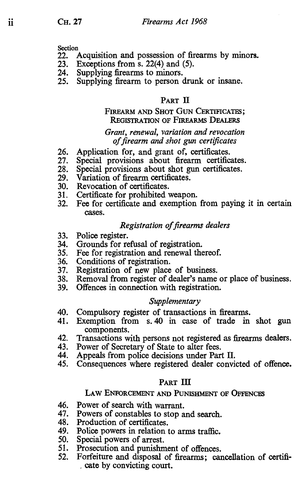- Section<br>22. / 22. Acquisition and possession of firearms by minors.<br>23. Exceptions from s.  $22(4)$  and  $(5)$ .
- 23. Exceptions from s. 22(4) and (5).<br>24. Supplying firearms to minors.
- 24. Supplying firearms to minors.<br>25. Supplying firearm to person of
- Supplying firearm to person drunk or insane.

#### PART II

#### FIREARM AND SHOT GUN CERTIFICATES; REGISTRATION OF FIREARMS DEALERS

#### Grant, renewal, variation and revocation of firearm and shot gun certificates

- 26. Application for, and grant of, certificates.<br>27. Special provisions about firearm certific
- Special provisions about firearm certificates.
- 28. Special provisions about shot gun certificates.
- 29. Variation of firearm certificates.<br>30. Revocation of certificates.
- 30. Revocation of certificates.<br>31. Certificate for prohibited
- Certificate for prohibited weapon.
- 32. Fee for certificate and exemption from paying it in certain cases.

#### Registration of firearms dealers

- 33. Police register.
- 34. Grounds for refusal of registration.<br>35. Fee for registration and renewal the
- 35. Fee for registration and renewal thereof.<br>36. Conditions of registration.
- 36. Conditions of registration.<br>37. Registration of new place
- 37. Registration of new place of business.<br>38. Removal from register of dealer's name
- 38. Removal from register of dealer's name or place of business.
- Offences in connection with registration.

#### Supplementary

- 40. Compulsory register of transactions in firearms.<br>41. Exemption from s.40 in case of trade in
- Exemption from s. 40 in case of trade in shot gun components.
- 42. Transactions with persons not registered as firearms dealers.<br>43. Power of Secretary of State to alter fees.
- 43. Power of Secretary of State to alter fees.<br>44. Appeals from police decisions under Par
- 44. Appeals from police decisions under Part II.<br>45. Consequences where registered dealer convi
- Consequences where registered dealer convicted of offence.

#### PART III

#### LAW ENFORCEMENT AND PUNISHMENT OF OFFENCES

- 46. Power of search with warrant.
- 47. Powers of constables to stop and search.<br>48. Production of certificates.
- 48. Production of certificates.<br>49. Police powers in relation
- 49. Police powers in relation to arms traffic.<br>50. Special powers of arrest.
- 50. Special powers of arrest.<br>51. Prosecution and punishm
- 51. Prosecution and punishment of offences.<br>52. Forfeiture and disposal of firearms: can
- Forfeiture and disposal of firearms; cancellation of certificate by convicting court.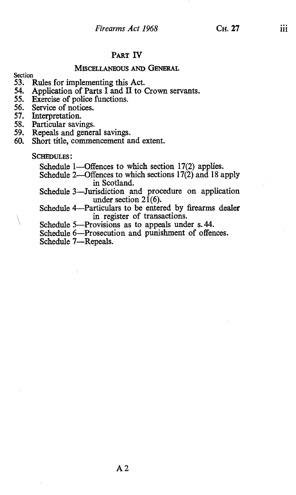#### PART IV

#### MISCELLANEOUS AND GENERAL

**Section** 

- 53. Rules for implementing this Act.<br>54. Application of Parts I and II to 0
- 54. Application of Parts I and II to Crown servants.<br>55. Exercise of police functions.
- 55. Exercise of police functions.<br>56. Service of notices.
- 56. Service of notices.<br>57. Interpretation.
- 57. Interpretation.<br>58. Particular savi
- 58. Particular savings.<br>59. Repeals and general
- 59. Repeals and general savings.<br>60. Short title, commencement a
- Short title, commencement and extent.

SCHEDULES:

Schedule 1---Offences to which section  $17(2)$  applies.

- Schedule 2—Offences to which sections  $17(2)$  and 18 apply in Scotland.
- Schedule 3-Jurisdiction and procedure on application under section  $2\hat{1}(6)$ .

Schedule 4-Particulars to be entered by firearms dealer in register of transactions.

Schedule 5-Provisions as to appeals under s. 44.

Schedule 6-Prosecution and punishment of offences.

Schedule 7-Repeals.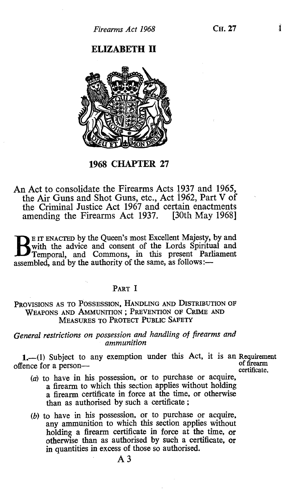#### ELIZABETH II



#### 1968 CHAPTER 27

An Act to consolidate the Firearms Acts 1937 and 1965, the Air Guns and Shot Guns, etc., Act 1962, Part V of the Criminal Justice Act 1967 and certain enactments amending the Firearms Act 1937. [30th May 1968]

E IT ENACTED by the Queen's most Excellent Majesty, by and with the advice and consent of the Lords Spiritual and Temporal, and Commons, in this present Parliament assembled, and by the authority of the same, as follows

#### PART I

#### PROVISIONS AS TO POSSESSION, HANDLING AND DISTRIBUTION OF WEAPONS AND AMMUNITION ; PREVENTION OF CRIME AND MEASURES TO PROTECT PUBLIC SAFETY

General restrictions on possession and handling of firearms and ammunition

1.-(1) Subject to any exemption under this Act, it is an Requirement offence for a person-

- certificate.
- $(a)$  to have in his possession, or to purchase or acquire, a firearm to which this section applies without holding a firearm certificate in force at the time, or otherwise than as authorised by such a certificate ;
- (b) to have in his possession, or to purchase or acquire, any ammunition to which this section applies without holding a firearm certificate in force at the time, or otherwise than as authorised by such a certificate, or in quantities in excess of those so authorised.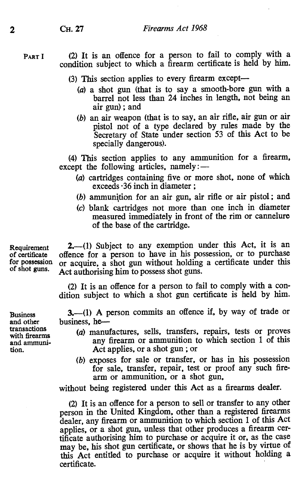PART I (2) It is an offence for a person to fail to comply with a condition subject to which a firearm certificate is held by him.

- (3) This section applies to every firearm except—
	- (a) a shot gun (that is to say a smooth-bore gun with a barrel not less than 24 inches in length, not being an air gun) ; and
	- (b) an air weapon (that is to say, an air rifle, air gun or air pistol not of a type declared by rules made by the Secretary of State under section 53 of this Act to be specially dangerous).

(4) This section applies to any ammunition for a firearm, except the following articles,  $namely:$ 

- (a) cartridges containing five or more shot, none of which exceeds -36 inch in diameter ;
- (b) ammunition for an air gun, air rifle or air pistol ; and
- (c) blank cartridges not more than one inch in diameter measured immediately in front of the rim or cannelure of the base of the cartridge.

Requirement of certificate for possession of shot guns.

 $2,-(1)$  Subject to any exemption under this Act, it is an offence for a person to have in his possession, or to purchase or acquire, a shot gun without holding a certificate under this Act authorising him to possess shot guns.

(2) It is an offence for a person to fail to comply with a condition subject to which a shot gun certificate is held by him.

Business  $3,-(1)$  A person commits an offence if, by way of trade or and other business, he-

- transactions (a) manufactures, sells, transfers, repairs, tests or proves<br>with firearms (a) manufactures, sells, transfers, repairs, tests or proves and other business, he—<br>transactions (a) manufactures, sells, transfers, repairs, tests or proves<br>and ammuni-<br>tion. Act applies, or a shot gun; or and ammuni-<br>tion. Act applies, or a shot gun ; or
	- (b) exposes for sale or transfer, or has in his possession for sale, transfer, repair, test or proof any such firearm or ammunition, or a shot gun,

without being registered under this Act as a firearms dealer.

(2) It is an offence for a person to sell or transfer to any other person in the United Kingdom, other than a registered firearms dealer, any firearm or ammunition to which section 1 of this Act applies, or a shot gun, unless that other produces a firearm certificate authorising him to purchase or acquire it or, as the case may be, his shot gun certificate, or shows that he is by virtue of this Act entitled to purchase or acquire it without holding <sup>a</sup> certificate.

and other business, he-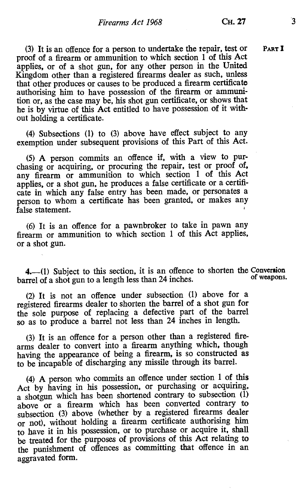(3) It is an offence for a person to undertake the repair, test or PART I proof of a firearm or ammunition to which section 1 of this Act applies, or of a shot gun, for any other person in the United Kingdom other than a registered firearms dealer as such, unless that other produces or causes to be produced a firearm certificate authorising him to have possession of the firearm or ammunition or, as the case may be, his shot gun certificate, or shows that he is by virtue of this Act entitled to have possession of it without holding a certificate.

(4) Subsections (1) to (3) above have effect subject to any exemption under subsequent provisions of this Part of this Act.

(5) A person commits an offence if, with a view to purchasing or acquiring, or procuring the repair, test or proof of, any firearm or ammunition to which section 1 of this Act applies, or a shot gun, he produces a false certificate or a certificate in which any false entry has been made, or personates a person to whom a certificate has been granted, or makes any false statement.

(6) It is an offence for a pawnbroker to take in pawn any firearm or ammunition to which section 1 of this Act applies, or a shot gun.

4.-(1) Subject to this section, it is an offence to shorten the Conversion<br>regular of a shot gun to a langth less than 24 inches barrel of a shot gun to a length less than 24 inches.

(2) It is not an offence under subsection (1) above for a registered firearms dealer to shorten the barrel of a shot gun for the sole purpose of replacing a defective part of the barrel so as to produce a barrel not less than 24 inches in length.

(3) It is an offence for a person other than a registered firearms dealer to convert into a firearm anything which, though having the appearance of being a firearm, is so constructed as to be incapable of discharging any missile through its barrel.

(4) A person who commits an offence under section 1 of this Act by having in his possession, or purchasing or acquiring, a shotgun which has been shortened contrary to subsection (1) above or a firearm which has been converted contrary to subsection (3) above (whether by a registered firearms dealer or not), without holding a firearm certificate authorising him to have it in his possession, or to purchase or acquire it, shall be treated for the purposes of provisions of this Act relating to the punishment of offences as committing that offence in an aggravated form.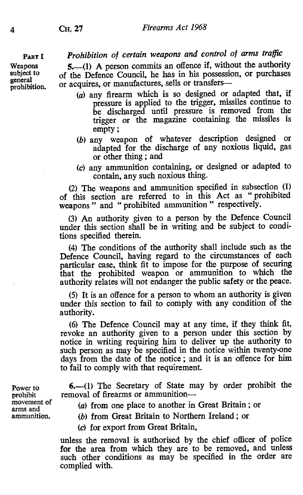PART I

Weapons subject to general prohibition.

#### Prohibition of certain weapons and control of arms traffic

5.--(1) A person commits an offence if, without the authority of the Defence Council, he has in his possession, or purchases or acquires, or manufactures, sells or transfers-

- $(a)$  any firearm which is so designed or adapted that, if pressure is applied to the trigger, missiles continue to be discharged until pressure is removed from the trigger or the magazine containing the missiles is empty ;
- (b) any weapon of whatever description designed or adapted for the discharge of any noxious liquid, gas or other thing ; and
- (c) any ammunition containing, or designed or adapted to contain, any such noxious thing.

(2) The weapons and ammunition specified in subsection (1) of this section are referred to in this Act as " prohibited weapons " and " prohibited ammunition " respectively.

(3) An authority given to a person by the Defence Council under this section shall be in writing and be subject to conditions specified therein.

(4) The conditions of the authority shall include such as the Defence Council, having regard to the circumstances of each particular case, think fit to impose for the purpose of securing that the prohibited weapon or ammunition to which the authority relates will not endanger the public safety or the peace.

(5) It is an offence for a person to whom an authority is given under this section to fail to comply with any condition of the authority.

(6) The Defence Council may at any time, if they think fit, revoke an authority given to a person under this section by notice in writing requiring him to deliver up the authority to such person as may be specified in the notice within twenty-one days from the date of the notice ; and it is an offence for him to fail to comply with that requirement.

 $6.$ - $(1)$  The Secretary of State may by order prohibit the removal of firearms or ammunition-

- (a) from one place to another in Great Britain ; or
- (b) from Great Britain to Northern Ireland ; or
- (c) for export from Great Britain,

unless the removal is authorised by the chief officer of police for the area from which they are to be removed, and unless such other conditions as may be specified in the order are complied with.

Power to prohibit movement of arms and ammunition.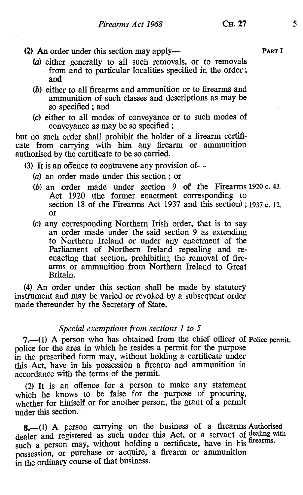- (2) An order under this section may apply---
	- (a) either generally to all such removals, or to removals from and to particular localities specified in the order; and
	- (b) either to all firearms and ammunition or to firearms and ammunition of such classes and descriptions as may be so specified ; and
	- (c) either to all modes of conveyance or to such modes of conveyance as may be so specified ;

but no such order shall prohibit the holder of a firearm certificate from carrying with him any firearm or ammunition authorised by the certificate to be so carried.

(3) It is an offence to contravene any provision of-

- (a) an order made under this section ; or
- (b) an order made under section 9 of the Firearms 1920 c. 43. Act 1920 (the former enactment corresponding to section 18 of the Firearms Act 1937 and this section) ; 1937 c. 12. or
- (c) any corresponding Northern Irish order, that is to say an order made under the said section 9 as extending to Northern Ireland or under any enactment of the Parliament of Northern Ireland repealing and reenacting that section, prohibiting the removal of firearms or ammunition from Northern Ireland to Great Britain.

(4) An order under this section shall be made by statutory instrument and may be varied or revoked by a subsequent order made thereunder by the Secretary of State.

#### Special exemptions from sections 1 to 5

7.--(1) A person who has obtained from the chief officer of Police permit. police for the area in which he resides a permit for the purpose in the prescribed form may, without holding a certificate under this Act, have in his possession a firearm and ammunition in accordance with the terms of the permit.

(2) It is an offence for a person to make any statement which he knows to be false for the purpose of procuring, whether for himself or for another person, the grant of a permit under this section.

 $8$ —(1) A person carrying on the business of a firearms Authorised dealer and registered as such under this Act, or a servant of dealing with such a person may, without holding a certificate, have in his firearms. possession, or purchase or acquire, a firearm or ammunition in the ordinary course of that business.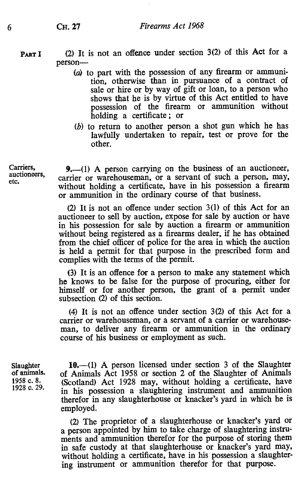PART I (2) It is not an offence under section 3(2) of this Act for a person-

- (a) to part with the possession of any firearm or ammunition, otherwise than in pursuance of a contract of sale or hire or by way of gift or loan, to a person who shows that he is by virtue of this Act entitled to have possession of the firearm or ammunition without holding a certificate ; or
- (b) to return to another person a shot gun which he has lawfully undertaken to repair, test or prove for the other.

Carriers, auctioneers, etc.

 $9$ .  $(1)$  A person carrying on the business of an auctioneer, carrier or warehouseman, or a servant of such a person, may, without holding a certificate, have in his possession a firearm or ammunition in the ordinary course of that business.

(2) It is not an offence under section  $3(1)$  of this Act for an auctioneer to sell by auction, expose for sale by auction or have in his possession for sale by auction a firearm or ammunition without being registered as a firearms dealer, if he has obtained from the chief officer of police for the area in which the auction is held a permit for that purpose in the prescribed form and complies with the terms of the permit.

(3) It is an offence for a person to make any statement which he knows to be false for the purpose of procuring, either for himself or for another person, the grant of a permit under subsection (2) of this section.

(4) It is not an offence under section 3 (2) of this Act for <sup>a</sup> carrier or warehouseman, or a servant of a carrier or warehouseman, to deliver any firearm or ammunition in the ordinary course of his business or employment as such.

Slaughter of animals. 1958 c. 8. 1928 c. 29.

10.-(1) A person licensed under section 3 of the Slaughter of Animals Act 1958 or section 2 of the Slaughter of Animals (Scotland) Act 1928 may, without holding a certificate, have in his possession a slaughtering instrument and ammunition therefor in any slaughterhouse or knacker's yard in which he is employed.

(2) The proprietor of a slaughterhouse or knacker's yard or a person appointed by him to take charge of slaughtering instruments and ammunition therefor for the purpose of storing them in safe custody at that slaughterhouse or knacker's yard may, without holding a certificate, have in his possession a slaughtering instrument or ammunition therefor for that purpose.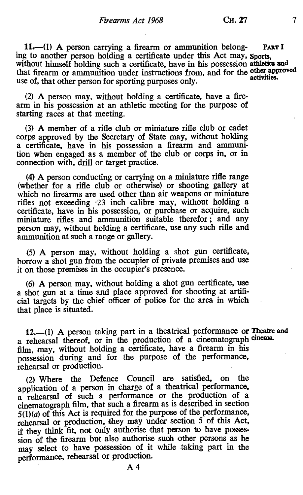11.—(1) A person carrying a firearm or ammunition belong- PART I ing to another person holding a certificate under this Act may, Sports, without himself holding such a certificate, have in his possession athletics and that firearm or ammunition under instructions from, and for the other approved and incurrent of animalization direct monutations from, and for the activities.

(2) A person may, without holding a certificate, have a firearm in his possession at an athletic meeting for the purpose of starting races at that meeting.

(3) A member of a rifle club or miniature rifle club or cadet corps approved by the Secretary of State may, without holding a certificate, have in his possession a firearm and ammunition when engaged as a member of the club or corps in, or in connection with, drill or target practice.

(4) A person conducting or carrying on a miniature rifle range (whether for a rifle club or otherwise) or shooting gallery at which no firearms are used other than air weapons or miniature rifles not exceeding  $23$  inch calibre may, without holding a certificate, have in his possession, or purchase or acquire, such miniature rifles and ammunition suitable therefor ; and any person may, without holding a certificate, use any such rifle and ammunition at such a range or gallery.

(5) A person may, without holding a shot gun certificate, borrow a shot gun from the occupier of private premises and use it on those premises in the occupier's presence.

(6) A person may, without holding a shot gun certificate, use a shot gun at a time and place approved for shooting at artificial targets by the chief officer of police for the area in which that place is situated.

12.-(1) A person taking part in a theatrical performance or Theatre and a rehearsal thereof, or in the production of a cinematograph cinema. film, may, without holding a certificate, have a firearm in his possession during and for the purpose of the performance, rehearsal or production.

(2) Where the Defence Council are satisfied, on the application of a person in charge of a theatrical performance, a rehearsal of such a performance or the production of a cinematograph film, that such a firearm as is described in section  $5(1)(a)$  of this Act is required for the purpose of the performance, rehearsal or production, they may under section 5 of this Act, if they think fit, not only authorise that person to have possession of the firearm but also authorise such other persons as he may select to have possession of it while taking part in the performance, rehearsal or production.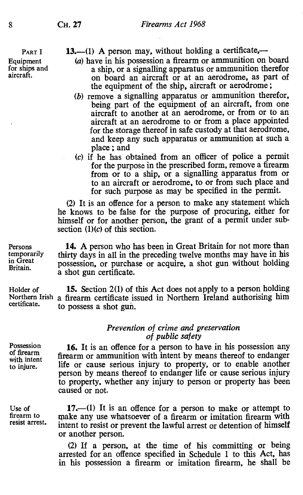$PART I$  13.—(1) A person may, without holding a certificate,—

- Equipment (a) have in his possession a firearm or ammunition on board<br>for ships and  $\alpha$  a ship, or a signalling apparatus or ammunition therefor for ships and a ship, or a signalling apparatus or ammunition therefor on board an aircraft or at an aerodrome, as part of the equipment of the ship, aircraft or aerodrome ;
	- (b) remove a signalling apparatus or ammunition therefor, being part of the equipment of an aircraft, from one aircraft to another at an aerodrome, or from or to an aircraft at an aerodrome to or from a place appointed for the storage thereof in safe custody at that aerodrome. and keep any such apparatus or ammunition at such a place ; and
	- (c) if he has obtained from an officer of police a permit for the purpose in the prescribed form, remove a firearm from or to a ship, or a signalling apparatus from or to an aircraft or aerodrome, to or from such place and for such purpose as may be specified in the permit.

(2) It is an offence for a person to make any statement which he knows to be false for the purpose of procuring, either for himself or for another person, the grant of a permit under subsection  $(1)(c)$  of this section.

14. A person who has been in Great Britain for not more than thirty days in all in the preceding twelve months may have in his possession, or purchase or acquire, a shot gun without holding a shot gun certificate.

Holder of Northern Irish a firearm certificate issued in Northern Ireland authorising him 15. Section 2(1) of this Act does not apply to a person holding to possess a shot gun.

#### Prevention of crime and preservation of public safety

16. It is an offence for a person to have in his possession any firearm or ammunition with intent by means thereof to endanger life or cause serious injury to property, or to enable another person by means thereof to endanger life or cause serious injury to property, whether any injury to person or property has been caused or not.

 $17.$ —(1) It is an offence for a person to make or attempt to make any use whatsoever of a firearm or imitation firearm with intent to resist or prevent the lawful arrest or detention of himself or another person.

> (2) If a person, at the time of his committing or being arrested for an offence specified in Schedule 1 to this Act, has in his possession a firearm or imitation firearm, he shall be

Personstemporarily in Great Britain.

certificate.

Possession of firearm with intent to injure.

Use of firearm to resist arrest.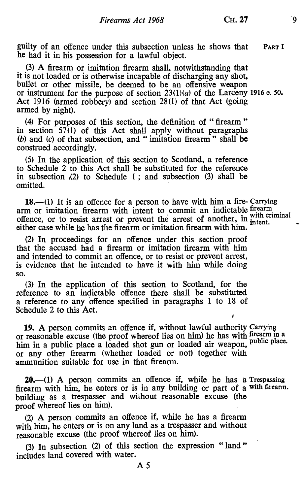١Q

guilty of an offence under this subsection unless he shows that PART I he had it in his' possession for a lawful object.

(3) A firearm or imitation firearm shall, notwithstanding that it is not loaded or is otherwise incapable of discharging any shot, bullet or other missile, be deemed to be an offensive weapon or instrument for the purpose of section  $23(1)(a)$  of the Larceny 1916 c. 50. Act 1916 (armed robbery) and section 28(1) of that Act (going armed by night).

(4) For purposes of this section, the definition of " firearm " in section 57(1) of this Act shall apply without paragraphs (b) and (c) of that subsection, and " imitation firearm " shall be construed accordingly.

(5) In the application of this section to Scotland, a reference to Schedule 2 to this Act shall be substituted for the reference in subsection  $(2)$  to Schedule 1; and subsection  $(3)$  shall be omitted.

 $18$ —(1) It is an offence for a person to have with him a fire- Carrying arm or imitation firearm with intent to commit an indictable firearm offence, or to resist arrest or prevent the arrest of another, in with criminal either case while he has the firearm or imitation firearm with him.

(2) In proceedings for an offence under this section proof that the accused had a firearm or imitation firearm with him and intended to commit an offence, or to resist or prevent arrest, is evidence that he intended to have it with him while doing so.

(3) In the application of this section to Scotland, for the reference to an indictable offence there shall be substituted a reference to any offence specified in paragraphs 1 to 18 of Schedule 2 to this Act.

19. A person commits an offence if, without lawful authority Carrying or reasonable excuse (the proof whereof lies on him) he has with  $\frac{1}{2}$ him in a public place a loaded shot gun or loaded air weapon, public place. or any other firearm (whether loaded or not) together with ammunition suitable for use in that firearm.

20.-(1) A person commits an offence if, while he has a Trespassing firearm with him, he enters or is in any building or part of a with firearm. building as a trespasser and without reasonable excuse (the proof whereof lies on him).

(2) A person commits an offence if, while he has a firearm with him, he enters or is on any land as a trespasser and without reasonable excuse (the proof whereof lies on him).

(3) In subsection (2) of this section the expression " land " includes land covered with water.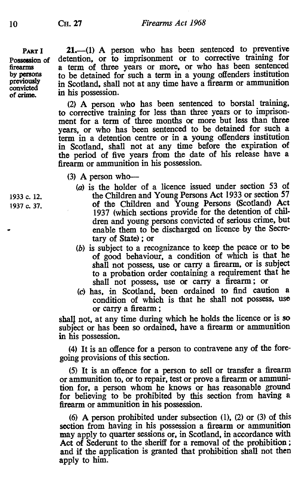convicted<br>of crime.

PART I 21.---(1) A person who has been sentenced to preventive<br>Possession of detention, or to imprisonment or to corrective training for Possession of detention, or to imprisonment or to corrective training for firearms a term of three years or more, or who has been sentenced firearms a term of three years or more, or who has been sentenced<br>by persons to be detained for such a term in a young offenders institution by persons to be detained for such a term in a young offenders institution previously in Sociland shall not at any time have a firearm or ammunition in Scotland, shall not at any time have a firearm or ammunition in his possession.

> (2) A person who has been sentenced to borstal training, to corrective training for less than three years or to imprisonment for a term of three months or more but less than three years, or who has been sentenced to be detained for such a term in a detention centre or in a young offenders institution in Scotland, shall not at any time before the expiration of the period of five years from the date of his release have a firearm or ammunition in his possession.

 $(3)$  A person who---

- (a) is the holder of a licence issued under section 53 of 1933 c. 12. the Children and Young Persons Act 1933 or section 57 1937 c. 37. of the Children and Young Persons (Scotland) Act 1937 (which sections provide for the detention of children and young persons convicted of serious crime, but enable them to be discharged on licence by the Secretary of State); or
	- (b) is subject to a recognizance to keep the peace or to be of good behaviour, a condition of which is that he shall not possess, use or carry a firearm, or is subject to a probation order containing a requirement that he shall not possess, use or carry a firearm ; or
	- (c) has, in Scotland, been ordained to find caution a condition of which is that he shall not possess, use or carry a firearm ;

shall not, at any time during which he holds the licence or is so subject or has been so ordained, have a firearm or ammunition in his possession.

(4) It is an offence for a person to contravene any of the foregoing provisions of this section.

(5) It is an offence for a person to sell or transfer a firearm or ammunition to, or to repair, test or prove a firearm or ammunition for, a person whom he knows or has reasonable ground for believing to be prohibited by this section from having a firearm or ammunition in his possession.

(6) A person prohibited under subsection (1), (2) or (3) of this section from having in his possession a firearm or ammunition may apply to quarter sessions or, in Scotland, in accordance with Act of Sederunt to the sheriff for a removal of the prohibition ; and if the application is granted that prohibition shall not then apply to him.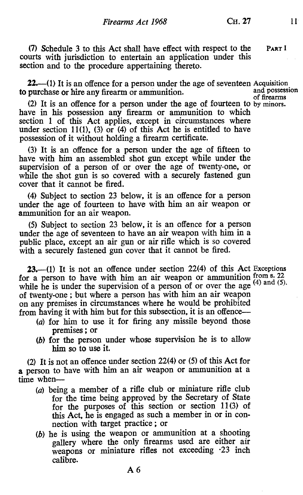22.--(1) It is an offence for a person under the age of seventeen Acquisition and possession to purchase or hire any firearm or ammunition.

(2) It is an offence for a person under the age of fourteen to by minors. have in his possession any firearm or ammunition to which section 1 of this Act applies, except in circumstances where under section 11(1), (3) or (4) of this Act he is entitled to have possession of it without holding a firearm certificate.

(3) It is an offence for a person under the age of fifteen to have with him an assembled shot gun except while under the supervision of a person of or over the age of twenty-one, or while the shot gun is so covered with a securely fastened gun cover that it cannot be fired.

(4) Subject to section 23 below, it is an offence for a person under the age of fourteen to have with him an air weapon or ammunition for an air weapon.

(5) Subject to section 23 below, it is an offence for a person under the age of seventeen to have an air weapon with him in a public place, except an air gun or air rifle which is so covered with a securely fastened gun cover that it cannot be fired.

 $23$ —(1) It is not an offence under section 22(4) of this Act Exceptions for a person to have with him an air weapon or ammunition from  $s$ , 22 while he is under the supervision of a person of or over the age  $(4)$  and  $(5)$ . of twenty-one ; but where a person has with him an air weapon on any premises in circumstances where he would be prohibited from having it with him but for this subsection, it is an offence-

- (a) for him to use it for firing any missile beyond those premises ; or
- (b) for the person under whose supervision he is to allow him so to use it.

(2) It is not an offence under section 22(4) or (5) of this Act for <sup>a</sup>person to have with him an air weapon or ammunition at a time when-

- (a) being a member of a rifle club or miniature rifle club for the time being approved by the Secretary of State for the purposes of this section or section 11(3) of this Act, he is engaged as such a member in or in connection with target practice ; or
- (b) he is using the weapon or ammunition at a shooting gallery where the only firearms used are either air weapons or miniature rifles not exceeding 23 inch calibre.

of firearms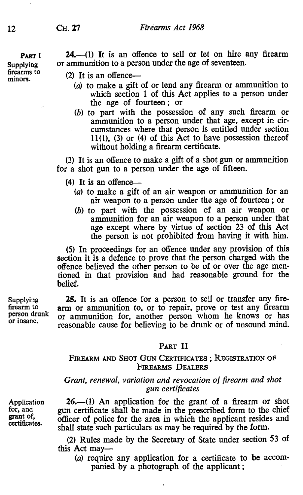firearms to

**PART I** 24.  $(1)$  It is an offence to sell or let on hire any firearm Supplying or ammunition to a person under the age of seventeen.

- $m_{\text{innors.}}^{t}$  (2) It is an offence--
	- (a) to make a gift of or lend any firearm or ammunition to which section 1 of this Act applies to a person under the age of fourteen ; or
	- (b) to part with the possession of any such firearm or ammunition to a person under that age, except in circumstances where that person is entitled under section 11(1), (3) or (4) of this Act to have possession thereof without holding a firearm certificate.

(3) It is an offence to make a gift of a shot gun or ammunition for a shot gun to a person under the age of fifteen.

- $(4)$  It is an offence-
	- (a) to make a gift of an air weapon or ammunition for an air weapon to a person under the age of fourteen ; or
	- (b) to part with the possession cf an air weapon or ammunition for an air weapon to a person under that age except where by virtue of section 23 of this Act the person is not prohibited from having it with him.

(5) In proceedings for an offence under any provision of this section it is a defence to prove that the person charged with the offence believed the other person to be of or over the age mentioned in that provision and had reasonable ground for the belief.

person drunk 25. It is an offence for a person to sell or transfer any firearm or ammunition to, or to repair, prove or test any firearm or ammunition for, another person whom he knows or has reasonable cause for believing to be drunk or of unsound mind.

#### PART II

#### FIREARM AND SHOT GUN CERTIFICATES ; REGISTRATION OF FIREARMS DEALERS

#### Grant, renewal, variation and revocation of firearm and shot gun certificates

Application for, and grant of, certificates.

Supplying firearm to

or insane.

 $26.$  (1) An application for the grant of a firearm or shot gun certificate shall be made in the prescribed form to the chief officer of police for the area in which the applicant resides and shall state such particulars as may be required by the form.

(2) Rules made by the Secretary of State under section 53 of this Act may-

(a) require any application for a certificate to be accompanied by a photograph of the applicant ;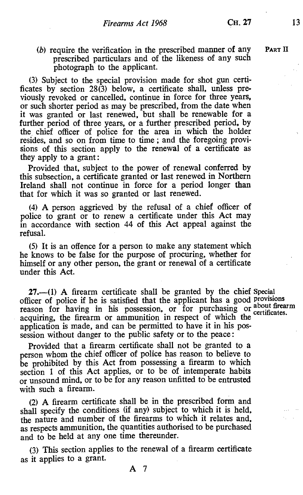(b) require the verification in the prescribed manner of any PART  $II$ prescribed particulars and of the likeness of any such photograph to the applicant.

(3) Subject to the special provision made for shot gun certificates by section 28(3) below, a certificate shall, unless previously revoked or cancelled, continue in force for three years, or such shorter period as may be prescribed, from the date when it was granted or last renewed, but shall be renewable for a further period of three years, or a further prescribed period, by the chief officer of police for the area in which the holder resides, and so on from time to time ; and the foregoing provisions of this section apply to the renewal of a certificate as they apply to a grant:

Provided that, subject to the power of renewal conferred by this subsection, a certificate granted or last renewed in Northern Ireland shall not continue in force for a period longer than that for which it was so granted or last renewed.

(4) A person aggrieved "by the refusal of a chief officer of police to grant or to renew a certificate under this Act may in accordance with section 44 of this Act appeal against the refusal.

(5) It is an offence for a person to make any statement which he knows to be false for the purpose of procuring, whether for himself or any other person, the grant or renewal of a certificate under this Act.

27.--(1) A firearm certificate shall be granted by the chief Special officer of police if he is satisfied that the applicant has a good provisions reason for having in his possession, or for purchasing or about firearm acquiring, the firearm or ammunition in respect of which the application is made, and can be permitted to have it in his possession without danger to the public safety or to the peace:

Provided that a firearm certificate shall not be granted to a person whom the chief officer of police has reason to believe to be prohibited by this Act from possessing a firearm to which section 1 of this Act applies, or to be of intemperate habits or unsound mind, or to be for any reason unfitted to be entrusted with such a firearm.

(2) A firearm certificate shall be in the prescribed form and shall specify the conditions (if any) subject to which it is held, the nature and number of the firearms to which it relates and, as respects ammunition, the quantities authorised to be purchased and to be held at any one time thereunder.

(3) This section applies to the renewal of a firearm certificate as it applies to a grant.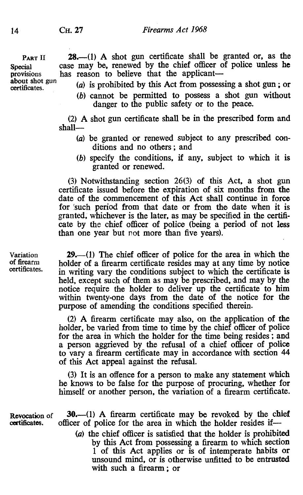$P_{ART II}$  28.-(1) A shot gun certificate shall be granted or, as the Special case may be, renewed by the chief officer of police unless he provisions has reason to believe that the applicant provisions has reason to believe that the applicant-<br>about shot gun

about shot gun (a) is prohibited by this Act from possessing a shot gun; or eartificates.

(b) cannot be permitted to possess a shot gun without danger to the public safety or to the peace.

(2) A shot gun certificate shall be in the prescribed form and shall-

- (a) be granted or renewed subject to any prescribed conditions and no others ; and
- (b) specify the conditions, if any, subject to which it is granted or renewed.

(3) Notwithstanding section 26(3) of this Act, a shot gun certificate issued before the expiration of six months from the date of the commencement of this Act shall continue in force for such period from that date or from the date when it is granted, whichever is the later, as may be specified in the certificate by the chief officer of police (being a period of not less than one year but not more than five years).

Variation of firearm certificates.

 $29$ .—(1) The chief officer of police for the area in which the holder of a firearm certificate resides may at any time by notice in writing vary the conditions subject to which the certificate is held, except such of them as may be prescribed, and may by the notice require the holder to deliver up the certificate to him within twenty-one days from the date of the notice for the purpose of amending the conditions specified therein.

(2) A firearm certificate may also, on the application of the holder, be varied from time to time by the chief officer of police for the area in which the holder for the time being resides ; and a person aggrieved by the refusal of a chief officer of police to vary a firearm certificate may in accordance with section 44 of this Act appeal against the refusal.

(3) It is an offence for a person to make any statement which he knows to be false for the purpose of procuring, whether for himself or another person, the variation of a firearm certificate.

Revocation of  $30$ . (1) A firearm certificate may be revoked by the chief certificates. officer of police for the area in which the holder resides if officer of police for the area in which the holder resides if-

> (a) the chief officer is satisfied that the holder is prohibited by this Act from possessing a firearm to which section <sup>1</sup>of this Act applies or is of intemperate habits or unsound mind, or is otherwise unfitted to be entrusted with such a firearm ; or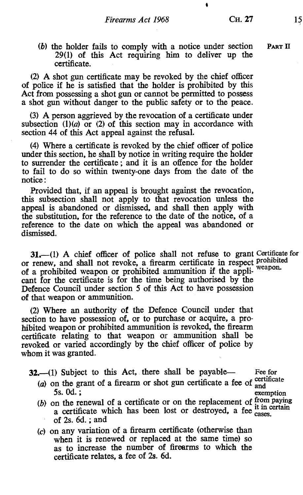(b) the holder fails to comply with a notice under section PART II 29(1) of this Act requiring him to deliver up the certificate.

(2) A shot gun certificate may be revoked by the chief officer of police if he is satisfied that the holder is prohibited by this Act from possessing a shot gun or cannot be permitted to possess a shot gun without danger to the public safety or to the peace.

(3) A person aggrieved by the revocation of a certificate under subsection  $(1)(a)$  or  $(2)$  of this section may in accordance with section 44 of this Act appeal against the refusal.

(4) Where a certificate is revoked by the chief officer of police under this section, he shall by notice in writing require the holder to surrender the certificate ; and it is an offence for the holder to fail to do so within twenty-one days from the date of the notice :

Provided that, if an appeal is brought against the revocation, this subsection shall not apply to that revocation unless the appeal is abandoned or dismissed, and shall then apply with the substitution, for the reference to the date of the notice, of a reference to the date on which the appeal was abandoned or dismissed.

31,-(1) A chief officer of police shall not refuse to grant Certificate for or renew, and shall not revoke, a firearm certificate in respect prohibited<br>of a prohibited weapon or prohibited ammunition if the appli weapon. of a prohibited weapon or prohibited ammunition if the applicant for the certificate is for the time being authorised by the Defence Council under section 5 of this Act to have possession of that weapon or ammunition.

(2) Where an authority of the Defence Council under that section to have possession of, or to purchase or acquire, a prohibited weapon or prohibited ammunition is revoked, the firearm certificate relating to that weapon or ammunition shall be revoked or varied accordingly by the chief officer of police by whom it was granted.

 $32$ , (1) Subject to this Act, there shall be payable- Fee for

(a) on the grant of a firearm or shot gun certificate a fee of  $\frac{\text{certificance}}{\text{as } 5\text{s}}$ . Od.: 5s. Od.; exemption

- (b) on the renewal of a certificate or on the replacement of  $\lim_{x \to a} \frac{1}{x}$  points of  $\lim_{x \to a} \frac{1}{x}$ a certificate which has been lost or destroyed, a fee  $\frac{t}{\text{cases}}$  is in certain of 2s. 6d. ; and
- (c) on any variation of a firearm certificate (otherwise than when it is renewed or replaced at the same time) so as to increase the number of firearms to which the certificate relates, a fee of 2s. 6d.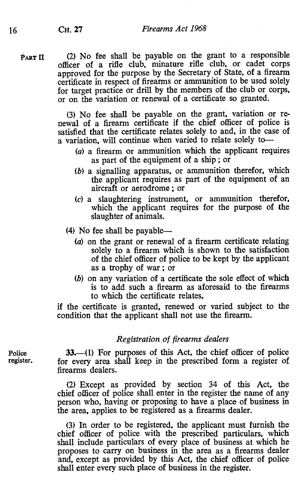PART II (2) No fee shall be payable on the grant to a responsible officer of a rifle club, minature rifle club, or cadet corps approved for the purpose by the Secretary of State, of a firearm certificate in respect of firearms or ammunition to be used solely for target practice or drill by the members of the club or corps, or on the variation or renewal of a certificate so granted.

> (3) No fee shall be payable on the grant, variation or renewal of a firearm certificate if the chief officer of police is satisfied that the certificate relates solely to and, in the case of a variation, will continue when varied to relate solely to-

- (a) a firearm or ammunition which the applicant requires as part of the equipment of a ship ; or
- (b) a signalling apparatus, or ammunition therefor, which the applicant requires as part of the equipment of an aircraft or aerodrome ; or
- (c) a slaughtering instrument, or ammunition therefor, which the applicant requires for the purpose of the slaughter of animals.
- (4) No fee shall be payable—
	- (a) on the grant or renewal of a firearm certificate relating solely to a firearm which is shown to the satisfaction of the chief officer of police to be kept by the applicant as a trophy of war ; or
	- (b) on any variation of a certificate the sole effect of which is to add such a firearm as aforesaid to the firearms to which the certificate relates,

if the certificate is granted, renewed or varied subject to the condition that the applicant shall not use the firearm.

#### Registration of firearms dealers

Police 33.-(1) For purposes of this Act, the chief officer of police<br>register. for every area shall keep in the prescribed form a register of for every area shall keep in the prescribed form a register of firearms dealers.

> (2) Except as provided by section 34 of this Act, the chief officer of police shall enter in the register the name of any person who, having or proposing to have a place of business in the area, applies to be registered as a firearms dealer.

(3) In order to be registered, the applicant must furnish the chief officer of police with the prescribed particulars, which shall include particulars of every place of business at which he proposes to carry on business in the area as a firearms dealer and, except as provided by this Act, the chief officer of police shall enter every such place of business in the register.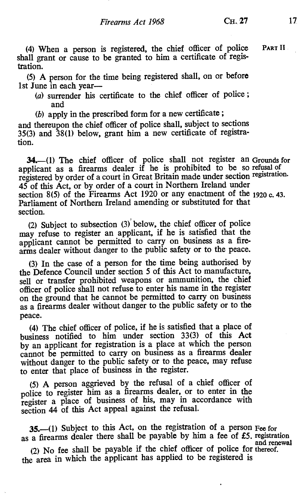(4) When a person is registered, the chief officer of police PART II shall grant or cause to be granted to him a certificate of registration.

(5) A person for the time being registered shall, on or before 1st June in each year-

- (a) surrender his certificate to the chief officer of police; and
- (b) apply in the prescribed form for a new certificate ;

and thereupon the chief officer of police shall, subject to sections 35(3) and 38(1) below, grant him a new certificate of registration.

34.-(1) The chief officer of police shall not register an Grounds for applicant as a firearms dealer if he is prohibited to be so refusal of registered by order of a court in Great Britain made under section registration. 45 of this Act, or by order of a court in Northern Ireland under section 8(5) of the Firearms Act 1920 or any enactment of the 1920 c. 43. Parliament of Northern Ireland amending or substituted for that section.

(2) Subject to subsection (3) below, the chief officer of police may refuse to register an applicant, if he is satisfied that the applicant cannot be permitted to carry on business as a firearms dealer without danger to the public safety or to the peace.

(3) In the case of a person for the time being authorised by the Defence Council under section 5 of this Act to manufacture, sell or transfer prohibited weapons or ammunition, the chief officer of police shall not refuse to enter his name in the register on the ground that he cannot be permitted to carry on business as a firearms dealer without danger to the public safety or to the peace.

(4) The chief officer of police, if he is satisfied that a place of business notified to him under section 33(3) of this Act by an applicant for registration is a place at which the person cannot be permitted to carry on business as a firearms dealer without danger to the public safety or to the peace, may refuse to enter that place of business in the register.

(5) A person aggrieved by the refusal of a chief officer of police to register him as a firearms dealer, or to enter in the register a place of business of his, may in accordance with section 44 of this Act appeal against the refusal.

35.-(1) Subject to this Act, on the registration of a person Fee for as a firearms dealer there shall be payable by him a fee of £5. registration and renewal

(2) No fee shall be payable if the chief officer of police for thereof. the area in which the applicant has applied to be registered is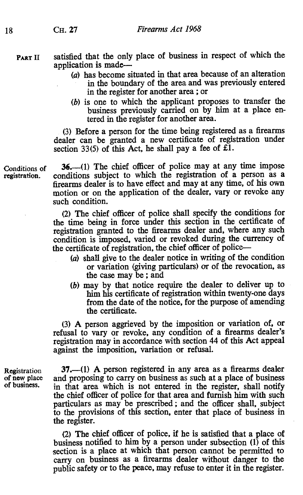PART II satisfied that the only place of business in respect of which the application is made-

- (a) has become situated in that area because of an alteration
	- in the boundary of the area and was previously entered in the register for another area ; or
- (b) is one to which the applicant proposes to transfer the business previously carried on by him at a place entered in the register for another area.

(3) Before a person for the time being registered as a firearms dealer can be granted a new certificate of registration under section 33(5) of this Act, he shall pay a fee of  $\pounds$ 1.

Conditions of  $36$ . (1) The chief officer of police may at any time impose registration. conditions subject to which the registration of a person as a conditions subject to which the registration of a person as a firearms dealer is to have effect and may at any time, of his own motion or on the application of the dealer, vary or revoke any such condition.

> (2) The chief officer of police shall specify the conditions for the time being in force under this section in the certificate of registration granted to the firearms dealer and, where any such condition is imposed, varied or revoked during the currency of the certificate of registration, the chief officer of police-

- (a) shall give to the dealer notice in writing of the condition or variation (giving particulars) or of the revocation, as the case may be ; and
- (b) may by that notice require the dealer to deliver up to him his certificate of registration within twenty-one days from the date of the notice, for the purpose of amending the certificate.

(3) A person aggrieved by the imposition or variation of, or refusal to vary or revoke, any condition of a firearms dealer's registration may in accordance with section 44 of this Act appeal against the imposition, variation or refusal.

Registration of new place of business.

 $37$ .-(1) A person registered in any area as a firearms dealer and proposing to carry on business as such at a place of business in that area which is not entered in the register, shall notify the chief officer of police for that area and furnish him with such particulars as may be prescribed ; and the officer shall, subject to the provisions of this section, enter that place of business in the register.

(2) The chief officer of police, if he is satisfied that a place of business notified to him by a person under subsection (1) of this section is a place at which that person cannot be permitted to carry on business as a firearms dealer without danger to the public safety or to the peace, may refuse to enter it in the register.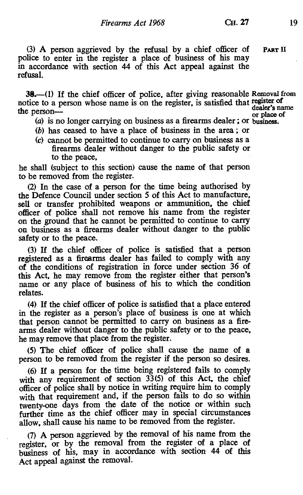refusal.

(3) A person aggrieved by the refusal by a chief officer of PART II police to enter in the register a place of business of his may in accordance with section 44 of this Act appeal against the

38.-(1) If the chief officer of police, after giving reasonable Removal from notice to a person whose name is on the register, is satisfied that register of dealer's name<br>the person-<br>or place of<br>or place of

- $(a)$  is no longer carrying on business as a firearms dealer; or business.
- (b) has ceased to have a place of business in the area ; or
- (c) cannot be permitted to continue to carry on business as a firearms dealer without danger to the public safety or to the peace,

he shall (subject to this section) cause the name of that person to be removed from the register.

(2) In the case of a person for the time being authorised by the Defence Council under section 5 of this Act to manufacture, sell or transfer prohibited weapons or ammunition, the chief officer of police shall not remove his name from the register on the ground that he cannot be permitted to continue to carry on business as a firearms dealer without danger to the public safety or to the peace.

(3) If the chief officer of police is satisfied that a person registered as a firearms dealer has failed to comply with any of the conditions of registration in force under section 36 of this Act, he may remove from the register either that person's name or any place of business of his to which the condition relates.

(4) If the chief officer of police is satisfied that a place entered in the register as a person's place of business is one at which that person cannot be permitted to carry on business as a firearms dealer without danger to the public safety or to the peace, he may remove that place from the register.

(5) The chief officer of police shall cause the name of a person to be removed from the register if the person so desires.

(6) If a person for the time being registered fails to comply with any requirement of section  $33(5)$  of this Act, the chief officer of police shall by notice in writing require him to comply with that requirement and, if the person fails to do so within twenty-one days from the date of the notice or within such further time as the chief officer may in special circumstances allow, shall cause his name to be removed from the register.

(7) A person aggrieved by the removal of his name from the register, or by the removal from the register of a place of business of his, may in accordance with section 44 of this Act appeal against the removal.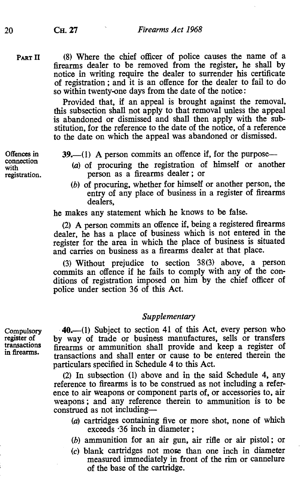PART II (8) Where the chief officer of police causes the name of a firearms dealer to be removed from the register, he shall by notice in writing require the dealer to surrender his certificate of registration ; and it is an offence for the dealer to fail to do so within twenty-one days from the date of the notice :

> Provided that, if an appeal is brought against the removal, this subsection shall not apply to that removal unless the appeal is abandoned or dismissed and shall then apply with the substitution, for the reference to the date of the notice, of a reference to the date on which the appeal was abandoned or dismissed.

- Offences in  $39$ . (1) A person commits an offence if, for the purpose-<br>connection
- $(2)$  connection  $(3)$  of procuring the registration of himself or another registration. person as a firearms dealer; or
	- (b) of procuring, whether for himself or another person, the entry of any place of business in a register of firearms dealers,

he makes any statement which he knows to be false.

(2) A person commits an offence if, being a registered firearms dealer, he has a place of business which is not entered in the register for the area in which the place of business is situated and carries on business as a firearms dealer at that place.

(3) Without prejudice to section 38(3) above, a person commits an offence if he fails to comply with any of the conditions of registration imposed on him by the chief officer of police under section 36 of this Act.

#### Supplementary

 $40$ , (1) Subject to section 41 of this Act, every person who by way of trade or business manufactures, sells or transfers firearms or ammunition shall provide and keep a register of transactions and shall enter or cause to be entered therein the particulars specified in Schedule 4 to this Act.

(2) In subsection (1) above and in the said Schedule 4, any reference to firearms is to be construed as not including a reference to air weapons or component parts of, or accessories to, air weapons ; and any reference therein to ammunition is to be construed as not including-

- (a) cartridges containing five or more shot, none of which exceeds -36 inch in diameter ;
- (b) ammunition for an air gun, air rifle or air pistol ; or
- (c) blank cartridges not more than one inch in diameter measured immediately in front of the rim or cannelure of the base of the cartridge.

Compulsory register of transactions in firearms.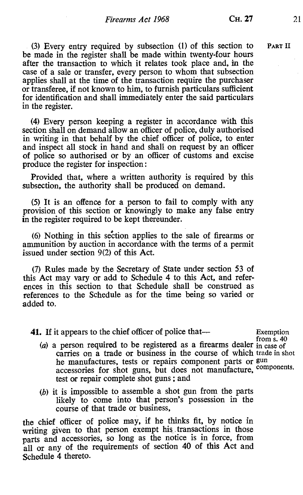(3) Every entry required by subsection (1) of this section to PART II be made in the register shall be made within twenty-four hours after the transaction to which it relates took place and, in the case of a sale or transfer, every person to whom that subsection applies shall at the time of the transaction require the purchaser or transferee, if not known to him, to furnish particulars sufficient for identification and shall immediately enter the said particulars in the register.

(4) Every person keeping a register in accordance with this section shall on demand allow an officer of police, duly authorised in writing in that behalf by the chief officer of police, to enter and inspect all stock in hand and shall on request by an officer of police so authorised or by an officer of customs and excise produce the register for inspection :

Provided that, where a written authority is required by this subsection, the authority shall be produced on demand.

(5) It is an offence for a person to fail to comply with any provision of this section or knowingly to make any false entry in the register required to be kept thereunder.

(6) Nothing in this section applies to the sale of firearms or ammunition by auction in accordance with the terms of a permit issued under section 9(2) of this Act.

(7) Rules made by the Secretary of State under section 53 of this Act may vary or add to Schedule 4 to this Act, and references in this section to that Schedule shall be construed as references to the Schedule as for the time being so varied or added to.

41. If it appears to the chief officer of police that—<br>Exemption

- (a) a person required to be registered as a firearms dealer in case of carries on a trade or business in the course of which trade in shot he manufactures, tests or repairs component parts or gun accessories for shot guns, but does not manufacture, components. test or repair complete shot guns ; and
- (b) it is impossible to assemble a shot gun from the parts likely to come into that person's possession in the course of that trade or business,

the chief officer of police may, if he thinks fit, by notice in writing given to that person exempt his transactions in those parts and accessories, so long as the notice is in force, from all or any of the requirements of section 40 of this Act and Schedule 4 thereto.

from  $\sin 40$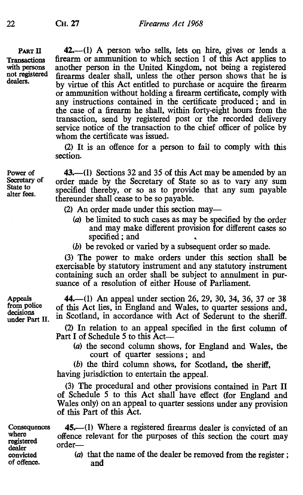**PART II** 42.—(1) A person who sells, lets on hire, gives or lends a Transactions firearm or ammunition to which section 1 of this Act applies to with persons another person in the United Kingdom, not being a registered not registered firecarms dealer shall unless the other person shows that he is not registered firearms dealer shall, unless the other person shows that he is by virtue of this Act entitled to purchase or acquire the firearm or ammunition without holding a firearm certificate, comply with any instructions contained in the certificate produced ; and in the case of a firearm he shall, within forty-eight hours from the transaction, send by registered post or the recorded delivery service notice of the transaction to the chief officer of police by whom the certificate was issued.

> (2) It is an offence for a person to fail to comply with this section.

Power of Secretary of State to alter fees.

43.—(1) Sections 32 and 35 of this Act may be amended by an order made by the Secretary of State so as to vary any sum specified thereby, or so as to provide that any sum payable thereunder shall cease to be so payable.

- (2) An order made under this section may—
	- (a) be limited to such cases as may be specified by the order and may make different provision for different cases so specified ; and
	- (b) be revoked or varied by a subsequent order so made.

(3) The power to make orders under this section shall be exercisable by statutory instrument and any statutory instrument containing such an order shall be subject to annulment in pursuance of a resolution of either House of Parliament.

44.—(1) An appeal under section 26, 29, 30, 34, 36, 37 or 38 of this Act lies, in England and Wales, to quarter sessions and, in Scotland, in accordance with Act of Sederunt to the sheriff.

(2) In relation to an appeal specified in the first column of Part I of Schedule 5 to this Act-

(a) the second column shows, for England and Wales, the court of quarter sessions ; and

(b) the third column shows, for Scotland, the sheriff, having jurisdiction to entertain the appeal.

(3) The procedural and other provisions contained in Part II of Schedule 5 to this Act shall have effect (for England and Wales only) on an appeal to quarter sessions under any provision of this Part of this Act.

**Consequences** where registered order dealer convicted of offence.

45.--(1) Where a registered firearms dealer is convicted of an offence relevant for the purposes of this section the court may

(a) that the name of the dealer be removed from the register ; and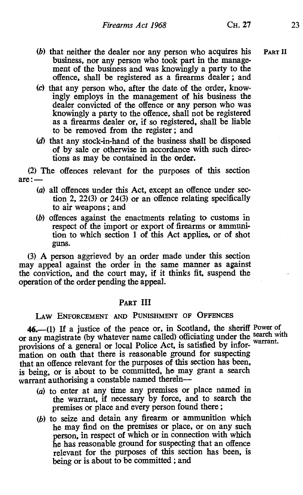- (b) that neither the dealer nor any person who acquires his PART II business, nor any person who took part in the management of the business and was knowingly a party to the offence, shall be registered as a firearms dealer ; and
- (c) that any person who, after the date of the order, knowingly employs in the management of his business the dealer convicted of the offence or any person who was knowingly a party to the offence, shall not be registered as a firearms dealer or, if so registered, shall be liable to be removed from the register ; and
- (d) that any stock-in-hand of the business shall be disposed of by sale or otherwise in accordance with such directions as may be contained in the order.

(2) The offences relevant for the purposes of this section are:—

- (a) all offences under this Act, except an offence under section 2, 22(3) or 24(3) or an offence relating specifically to air weapons; and
- (b) offences against the enactments relating to customs in respect of the import or export of firearms or ammunition to which section 1 of this Act applies, or of shot guns.

(3) A person aggrieved by an order made under this section may appeal against the order in the same manner as against the conviction, and the court may, if it thinks fit, suspend the operation of the order pending the appeal.

#### PART III

#### LAW ENFORCEMENT AND PUNISHMENT OF OFFENCES

46.-(1) If a justice of the peace or, in Scotland, the sheriff Power of or any magistrate (by whatever name called) officiating under the search with provisions of a general or local Police Act, is satisfied by information on oath that there is reasonable ground for suspecting that an offence relevant for the purposes of this section has been, is being, or is about to be committed, he may grant a search warrant authorising a constable named therein-

- (a) to enter at any time any premises or place named in the warrant, if necessary by force, and to search the premises or place and every person found there ;
- (b) to seize and detain any firearm or ammunition which he may find on the premises or place, or on any such person, in respect of which or in connection with which he has reasonable ground for suspecting that an offence relevant for the purposes of this section has been, is being or is about to be committed ; and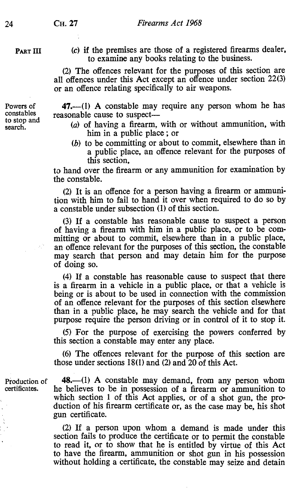to stop and

**PART III** (c) if the premises are those of a registered firearms dealer, to examine any books relating to the business.

> (2) The offences relevant for the purposes of this section are all offences under this Act except an offence under section 22(3) or an offence relating specifically to air weapons.

Powers of  $\left(47,-(1)\right)$  A constable may require any person whom he has constables reasonable cause to suspect reasonable cause to suspect-

- (a) of having a firearm, with or without ammunition, with him in a public place ; or
- (b) to be committing or about to commit, elsewhere than in a public place, an offence relevant for the purposes of this section,

to hand over the firearm or any ammunition for examination by the constable.

(2) It is an offence for a person having a firearm or ammunition with him to fail to hand it over when required to do so by a constable under subsection (1) of this section.

(3) If a constable has reasonable cause to suspect a person of having a firearm with him in a public place, or to be committing or about to commit, elsewhere than in a public place, an offence relevant for the purposes of this section, the constable may search that person and may detain him for the purpose of doing so.

(4) If a constable has reasonable cause to suspect that there is a firearm in a vehicle in a public place, or that a vehicle is being or is about to be used in connection with the commission of an offence relevant for the purposes of this section elsewhere than in a public place, he may search the vehicle and for that purpose require the person driving or in control of it to stop it.

(5) For the purpose of exercising the powers conferred by this section a constable may enter any place.

(6) The offences relevant for the purpose of this section are those under sections  $18(1)$  and  $(2)$  and  $20$  of this Act.

Production of  $\left(48\right)$  -(1) A constable may demand, from any person whom certificates. The believes to be in possession of a firearm or ammunition to he believes to be in possession of a firearm or ammunition to which section 1 of this Act applies, or of a shot gun, the production of his firearm certificate or, as the case may be, his shot gun certificate.

> (2) If a person upon whom a demand is made under this section fails to produce the certificate or to permit the constable to read it, or to show that he is entitled by virtue of this Act to have the firearm, ammunition or shot gun in his possession without holding a certificate, the constable may seize and detain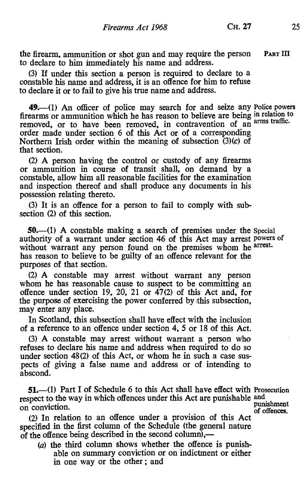the firearm, ammunition or shot gun and may require the person PART III to declare to him immediately his name and address.

(3) If under this section a person is required to declare to a constable his name and address, it is an offence for him to refuse to declare it or to fail to give his true name and address.

49.—(1) An officer of police may search for and seize any Police powers firearms or ammunition which he has reason to believe are being in relation to removed, or to have been removed, in contravention of an arms traffic. order made under section 6 of this Act or of a corresponding Northern Irish order within the meaning of subsection  $(3)(c)$  of that section.

(2) A person having the control or custody of any firearms or ammunition in course of transit shall, on demand by a constable, allow him all reasonable facilities for the examination and inspection thereof and shall produce any documents in his possession relating thereto.

(3) It is an offence for a person to fail to comply with subsection (2) of this section.

 $50$ .—(1) A constable making a search of premises under the Special authority of a warrant under section 46 of this Act may arrest powers of without warrant any person found on the premises whom he arrest. has reason to believe to be guilty of an offence relevant for the purposes of that section.

(2) A constable may arrest without warrant any person whom he has reasonable cause to suspect to be committing an offence under section 19, 20, 21 or  $47(2)$  of this Act and, for the purpose of exercising the power conferred by this subsection, may enter any place.

In Scotland, this subsection shall have effect with the inclusion of a reference to an offence under section 4, 5 or 18 of this Act.

(3) A constable may arrest without warrant a person who refuses to declare his name and address when required to do so under section 48(2) of this Act, or whom he in such a case suspects of giving a false name and address or of intending to abscond.

51.—(1) Part I of Schedule 6 to this Act shall have effect with Prosecution respect to the way in which offences under this Act are punishable and on conviction. punishment of offences.

(2) In relation to an offence under a provision of this Act specified in the first column of the Schedule (the general nature  $\alpha$  if the offence being described in the second column),—

(a) the third column shows whether the offence is punishable on summary conviction or on indictment or either in one way or the other ; and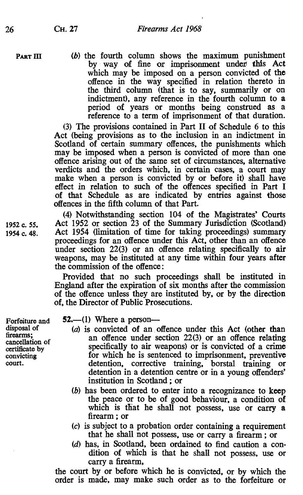**PART III** (b) the fourth column shows the maximum punishment by way of fine or imprisonment under this Act which may be imposed on a person convicted of the offence in the way specified in relation thereto in the third column (that is to say, summarily or on indictment), any reference in the fourth column to a period of years or months being construed as a reference to a term of imprisonment of that duration.

(3) The provisions contained in Part II of Schedule 6 to this Act (being provisions as to the inclusion in an indictment in Scotland of certain summary offences, the punishments which may be imposed when a person is convicted of more than one offence arising out of the same set of circumstances, alternative verdicts and the orders which, in certain cases, a court may make when a person is convicted by or before it) shall have effect in relation to such of the offences specified in Part I of that Schedule as are indicated by entries against those offences in the fifth column of that Part.

(4) Notwithstanding section 104 of the Magistrates' Courts 1952 c. 55. Act 1952 or section 23 of the Summary Jurisdiction (Scotland) 1954 c. 48. Act 1954 (limitation of time for taking proceedings) summary proceedings for an offence under this Act, other than an offence under section 22(3) or an offence relating specifically to air weapons, may be instituted at any time within four years after the commission of the offence :

> Provided that no such proceedings shall be instituted in England after the expiration of six months after the commission of the offence unless they are instituted by, or by the direction of, the Director of Public Prosecutions.

Forfeiture and disposal of firearms; cancellation of certificate by convicting court.

- $52$ —(1) Where a person—
	- (a) is convicted of an offence under this Act (other than an offence under section 22(3) or an offence relating specifically to air weapons) or is convicted of a crime for which he is sentenced to imprisonment, preventive detention, corrective training, borstal training or detention in a detention centre or in a young offenders' institution in Scotland ; or
	- (b) has been ordered to enter into a recognizance to keep the peace or to be of good behaviour, a condition of which is that he shall not possess, use or carry a firearm ; or
	- (c) is subject to a probation order containing a requirement that he shall not possess, use or carry a firearm ; or
	- (d) has, in Scotland, been ordained to find caution a condition of which is that he shall not possess, use or carry a firearm,

the court by or before which he is convicted, or by which the order is made, may make such order as to the forfeiture or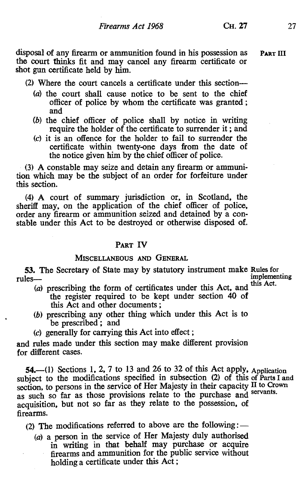(2) Where the court cancels a certificate under this section-

- (a) the court shall cause notice to be sent to the chief officer of police by whom the certificate was granted ; and
- (b) the chief officer of police shall by notice in writing require the holder of the certificate to surrender it ; and
- (c) it is an offence for the holder to fail to surrender the certificate within twenty-one days from the date of the notice given him by the chief officer of police.

(3) A constable may seize and detain any firearm or ammunition which may be the subject of an order for forfeiture under this section.

(4) A court of summary jurisdiction or, in Scotland, the sheriff may, on the application of the chief officer of police, order any firearm or ammunition seized and detained by a constable under this Act to be destroyed or otherwise disposed of.

#### PART IV

#### MISCELLANEOUS AND GENERAL

53. The Secretary of State may by statutory instrument make Rules for implementing rules-

- (a) prescribing the form of certificates under this Act, and this Act. the register required to be kept under section 40 of this Act and other documents ;
- (b) prescribing any other thing which under this Act is to be prescribed ; and
- (c) generally for carrying this Act into effect ;

and rules made under this section may make different provision for different cases.

 $54$ . $(1)$  Sections 1, 2, 7 to 13 and 26 to 32 of this Act apply, Application subject to the modifications specified in subsection (2) of this of Parts I and section, to persons in the service of Her Majesty in their capacity II to Crown as such so far as those provisions relate to the purchase and servants. acquisition, but not so far as they relate to the possession, of firearms.

(2) The modifications referred to above are the following :-

(a) a person in the service of Her Majesty duly authorised in writing in that behalf may purchase or acquire firearms and ammunition for the public service without holding a certificate under this Act ;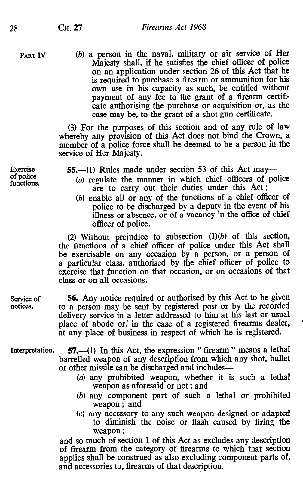PART IV (b) a person in the naval, military or air service of Her Majesty shall, if he satisfies the chief officer of police on an application under section 26 of this Act that he is required to purchase a firearm or ammunition for his own use in his capacity as such, be entitled without payment of any fee to the grant of a firearm certificate authorising the purchase or acquisition or, as the case may be, to the grant of a shot gun certificate.

> (3) For the purposes of this section and of any rule of law whereby any provision of this Act does not bind the Crown, <sup>a</sup> member of a police force shall be deemed to be a person in the service of Her Majesty.

- Exercise 55.-(1) Rules made under section 53 of this Act may-<br>of police (a) regulate the manner in which chief officers of police are to carry out their duties under this Act;
	- (b) enable all or any of the functions of a chief officer of police to be discharged by a deputy in the event of his illness or absence, or of a vacancy in the office of chief officer of police.

(2) Without prejudice to subsection  $(1)(b)$  of this section, the functions of a chief officer of police under this Act shall be exercisable on any occasion by a person, or a person of a particular class, authorised by the chief officer of police to exercise that function on that occasion, or on occasions of that class or on all occasions.

Service of 56. Any notice required or authorised by this Act to be given<br>notices. The a person may be sent by registered post or by the recorded to a person may be sent by registered post or by the recorded delivery service in a letter addressed to him at his last or usual place of abode or,' in the case of a registered firearms dealer, at any place of business in respect of which he is registered.

- Interpretation.  $57$ .--(1) In this Act, the expression " firearm " means a lethal barrelled weapon of any description from which any shot, bullet or other missile can be discharged and includes—
	- (a) any prohibited weapon, whether it is such a lethal weapon as aforesaid or not ; and
	- (b) any component part of such a lethal or prohibited weapon ; and
	- (c) any accessory to any such weapon designed or adapted to diminish the noise or flash caused by firing the weapon ;

and so much of section 1 of this Act as excludes any description of firearm from the category of firearms to which that section applies shall be construed as also excluding component parts of, and accessories to, firearms of that description.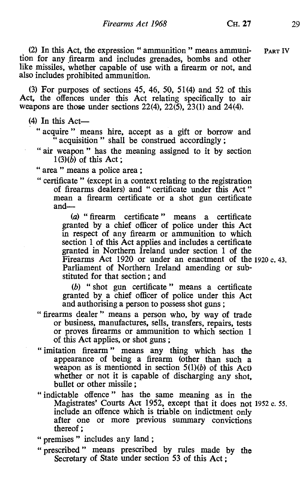(2) In this Act, the expression " ammunition " means ammuni- PART IV tion for any firearm and includes grenades, bombs and other like missiles, whether capable of use with a firearm or not, and also includes prohibited ammunition.

(3) For purposes of sections 45, 46, 50, 51(4) and 52 of this Act, the offences under this Act relating specifically to air weapons are those under sections 22(4), 22(5), 23(1) and 24(4).

- (4) In this Act
	- " acquire " means hire, accept as a gift or borrow and " acquisition " shall be construed accordingly;
	- " air weapon" has the meaning assigned to it by section  $1(3)(\bar{b})$  of this Act:
	- " area " means a police area ;
	- " certificate " (except in a context relating to the registration of firearms dealers) and " certificate under this Act " mean a firearm certificate or a shot gun certificate and-

(a) " firearm certificate " means a certificate granted by a chief officer of police under this Act in respect of any firearm or ammunition to which section 1 of this Act applies and includes a certificate granted in Northern Ireland under section 1 of the Firearms Act 1920 or under an enactment of the 1920 c. 43. Parliament of Northern Ireland amending or substituted for that section ; and

(b) " shot gun certificate " means a certificate granted by a chief officer of police under this Act and authorising a person to possess shot guns ;

- " firearms dealer " means a person who, by way of trade or business, manufactures, sells, transfers, repairs, tests or proves firearms or ammunition to which section <sup>1</sup> of this Act applies, or shot guns ;
- " imitation firearm" means any thing which has the appearance of being a firearm (other than such a weapon as is mentioned in section  $5(1)(b)$  of this Act) whether or not it is capable of discharging any shot, bullet or other missile ;
- "indictable offence" has the same meaning as in the Magistrates' Courts Act 1952, except that it does not 1952 c. 55. include an offence which is triable on indictment only after one or more previous summary convictions thereof ;

" prescribed " means prescribed by rules made by the Secretary of State under section 53 of this Act ;

<sup>&</sup>quot; premises " includes any land;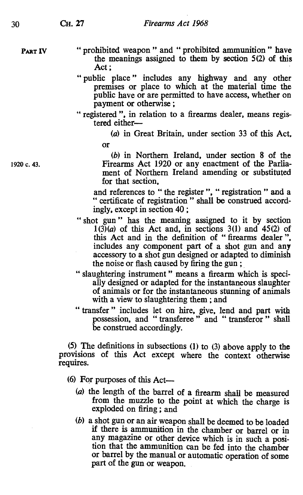PART IV

1920 c. 43.

- " prohibited weapon " and " prohibited ammunition " have the meanings assigned to them by section 5(2) of this Act ;
- " public place" includes any highway and any other premises or place to which at the material time the public have or are permitted to have access, whether on payment or otherwise ;
- " registered ", in relation to a firearms dealer, means registered either-

(a) in Great Britain, under section 33 of this Act, or

(b) in Northern Ireland, under section 8 of the Firearms Act 1920 or any enactment of the Parliament of Northern Ireland amending or substituted for that section,

and references to " the register ", " registration " and <sup>a</sup> " certificate of registration " shall be construed accordingly, except in section 40 ;

- " shot gun" has the meaning assigned to it by section  $1(3)(a)$  of this Act and, in sections 3(1) and 45(2) of this Act and in the definition of "firearms dealer", includes any component part of a shot gun and any accessory to a shot gun designed or adapted to diminish the noise or flash caused by firing the gun ;
- " slaughtering instrument " means a firearm which is speciof animals or for the instantaneous stunning of animals with a view to slaughtering them ; and
- " transfer " includes let on hire, give, lend and part with possession, and " transferee " and " transferor " shall be construed accordingly.

(5) The definitions in subsections (1) to (3) above apply to the provisions of this Act except where the context otherwise requires.

- $(6)$  For purposes of this Act-
	- (a) the length of the barrel of a firearm shall be measured from the muzzle to the point at which the charge is exploded on firing ; and
	- (b) a shot gun or an air weapon shall be deemed to be loaded if there is ammunition in the chamber or barrel or in any magazine or other device which is in such a position that the ammunition can be fed into the chamber or barrel by the manual or automatic operation of some part of the gun or weapon.

30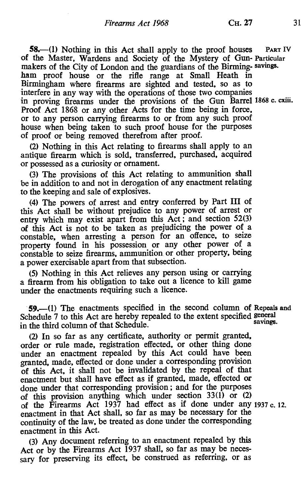$58$ . (1) Nothing in this Act shall apply to the proof houses PART IV of the Master, Wardens and Society of the Mystery of Gun- Particular makers of the City of London and the guardians of the Birming- savings. ham proof house or the rifle range at Small Heath in Birmingham where firearms are sighted and tested, so as to interfere in any way with the operations of those two companies in proving firearms under the provisions of the Gun Barrel 1868 c. cxiii. Proof Act 1868 or any other Acts for the time being in force, or to any person carrying firearms to or from any such proof house when being taken to such proof house for the purposes of proof or being removed therefrom after proof.

(2) Nothing in this Act relating to firearms shall apply to an antique firearm which is sold, transferred, purchased, acquired or possessed as a curiosity or ornament.

(3) The provisions of this Act relating to ammunition shall be in addition to and not in derogation of any enactment relating to the keeping and sale of explosives.

(4) The powers of arrest and entry conferred by Part III of this Act shall be without prejudice to any power of arrest or entry which may exist apart from this Act ; and section 52(3) of this Act is not to be taken as prejudicing the power of a constable, when arresting a person for an offence, to seize property found in his possession or any other power of a constable to seize firearms, ammunition or other property, being a power exercisable apart from that subsection.

(5) Nothing in this Act relieves any person using or carrying a firearm from his obligation to take out a licence to kill game under the enactments requiring such a licence.

59.-(1) The enactments specified in the second column of Repeals and Schedule 7 to this Act are hereby repealed to the extent specified general savings. in the third column of that Schedule.

(2) In so far as any certificate, authority or permit granted, order or rule made, registration effected, or other thing done under an enactment repealed by this Act could have been granted, made, effected or done under a corresponding provision of this Act, it shall not be invalidated by the repeal of that enactment but shall have effect as if granted, made, effected or done under that corresponding provision ; and for the purposes of this provision anything which under section 33(l) or (2) of the Firearms Act 1937 had effect as if done under any 1937 c. 12. enactment in that Act shall, so far as may be necessary for the continuity of the law, be treated as done under the corresponding enactment in this Act.

(3) Any document referring to an enactment repealed by this Act or by the Firearms Act 1937 shall, so far as may be necessary for preserving its effect, be construed as referring, or as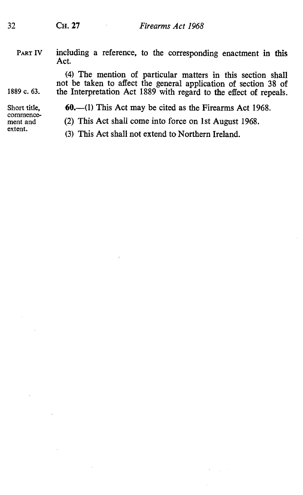#### PART IV including a reference, to the corresponding enactment in this Act.

(4) The mention of particular matters in this section shall not be taken to affect the general application of section 38 of 1889 c. 63. the Interpretation Act 1889 with regard to the effect of repeals.

commence-<br>ment and

Short title,  $60$ .—(1) This Act may be cited as the Firearms Act 1968.

 $\cdot$ 

- ment and  $(2)$  This Act shall come into force on 1st August 1968.
	- (3) This Act shall not extend to Northern Ireland.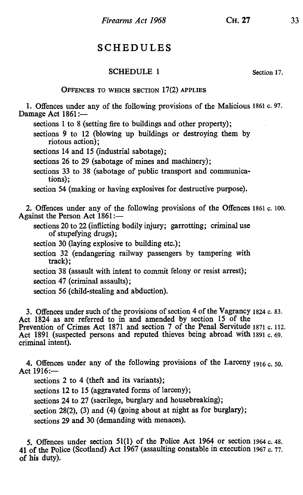#### SCHEDULES

#### SCHEDULE 1 Section 17.

#### OFFENCES TO WHICH SECTION 17(2) APPLIES

1. Offences under any of the following provisions of the Malicious 1861 c. 97. Damage Act 1861:-

sections 1 to 8 (setting fire to buildings and other property);

sections 9 to 12 (blowing up buildings or destroying them by riotous action);

sections 14 and 15 (industrial sabotage);

sections 26 to 29 (sabotage of mines and machinery);

sections 33 to 38 (sabotage of public transport and communications);

section 54 (making or having explosives for destructive purpose).

2. Offences under any of the following provisions of the Offences 1861 c. 100. Against the Person Act  $1861:$ 

sections 20 to 22 (inflicting bodily injury; garrotting; criminal use of stupefying drugs);

section 30 (laying explosive to building etc.);

section 32 (endangering railway passengers by tampering with track) ;

section 38 (assault with intent to commit felony or resist arrest);

section 47 (criminal assaults);

section 56 (child-stealing and abduction).

3. Offences under such of the provisions of section 4 of the Vagrancy 1824 c. 83. Act 1824 as are referred to in and amended by section 15 of the Prevention of Crimes Act 1871 and section 7 of the Penal Servitude 1871 c. 112. Act 1891 (suspected persons and reputed thieves being abroad with 1891 c. 69. criminal intent).

4. Offences under any of the following provisions of the Larceny  $1916c$ , 50. Act  $1916:$  —

sections 2 to 4 (theft and its variants);

sections 12 to 15 (aggravated forms of larceny);

sections 24 to 27 (sacrilege, burglary and housebreaking);

section 28(2), (3) and (4) (going about at night as for burglary);

sections 29 and 30 (demanding with menaces).

5. Offences under section 51(1) of the Police Act 1964 or section 1964 c. 48. <sup>41</sup>of the Police (Scotland) Act 1967 (assaulting constable in execution 1967 c. 77. of his duty).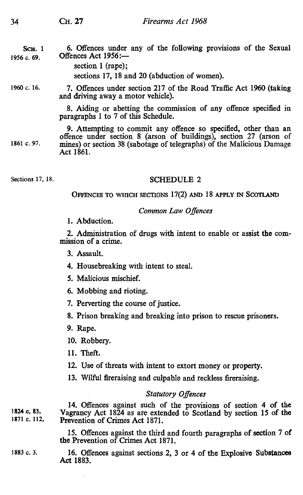| 34                   | Ch. 27                                   | Firearms Act 1968                                                                                                                                                                                              |
|----------------------|------------------------------------------|----------------------------------------------------------------------------------------------------------------------------------------------------------------------------------------------------------------|
| SCH.1<br>1956 с. 69. | Offences Act 1956:-<br>section 1 (rape); | 6. Offences under any of the following provisions of the Sexual                                                                                                                                                |
|                      |                                          | sections 17, 18 and 20 (abduction of women).                                                                                                                                                                   |
| 1960 с. 16.          |                                          | 7. Offences under section 217 of the Road Traffic Act 1960 (taking<br>and driving away a motor vehicle).                                                                                                       |
|                      |                                          | 8. Aiding or abetting the commission of any offence specified in<br>paragraphs 1 to 7 of this Schedule.                                                                                                        |
| 1861 c. 97.          | Act 1861.                                | 9. Attempting to commit any offence so specified, other than an<br>offence under section 8 (arson of buildings), section 27 (arson of<br>mines) or section 38 (sabotage of telegraphs) of the Malicious Damage |

Sections 17, 18.

#### SCHEDULE 2

OFFENCES TO WHICH SECTIONS 17(2) AND 18 APPLY IN SCOTLAND

#### Common Law Offences

1. Abduction.

2. Administration of drugs with intent to enable or assist the commission of a crime.

3. Assault.

4. Housebreaking with intent to steal.

5. Malicious mischief.

6. Mobbing and rioting.

7. Perverting the course of justice.

8. Prison breaking and breaking into prison to rescue prisoners.

9. Rape.

10. Robbery.

11. Theft.

12. Use of threats with intent to extort money or property.

13. Wilful fireraising and culpable and reckless fireraising.

#### Statutory Offences

1824 c. 83. 1871 c. 112. 14. Offences against such of the provisions of section 4 of the Vagrancy Act 1824 as are extended to Scotland by section 15 of the Prevention of Crimes Act 1871.

> 15. Offences against the third and fourth paragraphs of section 7 of the Prevention of Crimes Act 1871.

<sup>1883</sup>c. 3. 16. Offences against sections 2, 3 or 4 of the Explosive Substances Act 1883.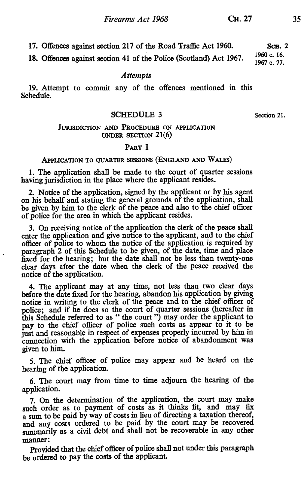17. Offences against section 217 of the Road Traffic Act 1960. Sch. 2

18. Offences against section 41 of the Police (Scotland) Act 1967.  $\frac{1960 \text{ c. } 16.}{1967 \text{ c. } 77.}$ 1967 c. 77.

#### **Attempts**

19. Attempt to commit any of the offences mentioned in this Schedule.

#### SCHEDULE 3 Section 21.

#### JURISDICTION AND PROCEDURE ON APPLICATION UNDER SECTION 21(6)

#### PART I

#### APPLICATION TO QUARTER SESSIONS (ENGLAND AND WALES)

1. The application shall be made to the court of quarter sessions having jurisdiction in the place where the applicant resides.

2. Notice of the application, signed by the applicant or by his agent on his behalf and stating the general grounds of the application, shall be given by him to the clerk of the peace and also to the chief officer of for the area in which the applicant resides.

3. On receiving notice of the application the clerk of the peace shall enter the application and give notice to the applicant, and to the chief officer of police to whom the notice of the application is required by paragraph 2 of this Schedule to be given, of the date, time and place fixed for the hearing; but the date shall not be less than twenty-one clear days after the date when the clerk of the peace received the notice of the application.

4. The applicant may at any time, not less than two clear days before the date fixed for the hearing, abandon his application by giving notice in writing to the clerk of the peace and to the chief officer of police; and if he does so the court of quarter sessions (hereafter in this Schedule referred to as " the court ") may order the applicant to pay to the chief officer of police such costs as appear to it to be just and reasonable in respect of expenses properly incurred by him in connection with the application before notice of abandonment was given to him.

5. The chief officer of police may appear and be heard on the hearing of the application.

6. The court may from time to time adjourn the hearing of the application.

7. On the determination of the application, the court may make such order as to payment of costs as it thinks fit, and may fix <sup>a</sup>sum to be paid by way of costs in lieu of directing a taxation thereof, and any costs ordered to be paid by the court may be recovered summarily as a civil debt and shall not be recoverable in any other manner:

Provided that the chief officer of police shall not under this paragraph be ordered to pay the costs of the applicant.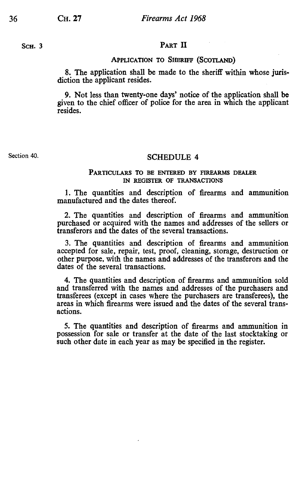#### SCH. 3 PART H

#### APPLICATION TO SHERIFF (SCOTLAND)

8. The application shall be made to the sheriff within whose jurisdiction the applicant resides.

9. Not less than twenty-one days' notice of the application shall be given to the chief officer of police for the area in which the applicant resides.

#### Section 40. SCHEDULE 4

#### PARTICULARS TO BE ENTERED BY FIREARMS DEALER IN REGISTER OF TRANSACTIONS

1. The quantities and description of firearms and ammunition manufactured and the dates thereof.

2. The quantities and description of firearms and ammunition purchased or acquired with the names and addresses of the sellers or transferors and the dates of the several transactions.

3. The quantities and description of firearms and ammunition accepted for sale, repair, test, proof, cleaning, storage, destruction or other purpose, with the names and addresses of the transferors and the dates of the several transactions.

4. The quantities and description of firearms and ammunition sold and transferred with the names and addresses of the purchasers and transferees (except in cases where the purchasers are transferees), the areas in which firearms were issued and the dates of the several transactions.

5. The quantities and description of firearms and ammunition in possession for sale or transfer at the date of the last stocktaking or such other date in each year as may be specified in the register.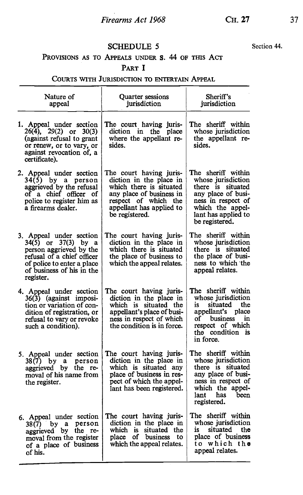#### SCHEDULE 5 Section 44.

PROVISIONS AS TO APPEALS UNDER S. 44 OF THIS ACT

PART I

#### COURTS WITH JURISDICTION TO ENTERTAIN APPEAL

| Nature of<br>appeal                                                                                                                                                                 | Quarter sessions<br>jurisdiction                                                                                                                                                | Sheriff's<br>jurisdiction                                                                                                                                              |
|-------------------------------------------------------------------------------------------------------------------------------------------------------------------------------------|---------------------------------------------------------------------------------------------------------------------------------------------------------------------------------|------------------------------------------------------------------------------------------------------------------------------------------------------------------------|
| 1. Appeal under section<br>26(4), 29(2) or 30(3)<br>(against refusal to grant<br>or renew, or to vary, or<br>against revocation of, a<br>certificate).                              | The court having juris-<br>diction in the place<br>where the appellant re-<br>sides.                                                                                            | The sheriff within<br>whose jurisdiction<br>the appellant re-<br>sides.                                                                                                |
| 2. Appeal under section<br>34(5) by a person<br>aggrieved by the refusal<br>of a chief officer of<br>police to register him as<br>a firearms dealer.                                | The court having juris-<br>diction in the place in<br>which there is situated<br>any place of business in<br>respect of which the<br>appellant has applied to<br>be registered. | The sheriff within<br>whose jurisdiction<br>there is situated<br>any place of busi-<br>ness in respect of<br>which the appel-<br>lant has applied to<br>be registered. |
| 3. Appeal under section<br>$34(5)$ or $37(3)$ by a<br>person aggrieved by the<br>refusal of a chief officer<br>of police to enter a place<br>of business of his in the<br>register. | The court having juris-<br>diction in the place in<br>which there is situated<br>the place of business to<br>which the appeal relates.                                          | The sheriff within<br>whose jurisdiction<br>there is situated<br>the place of busi-<br>ness to which the<br>appeal relates.                                            |
| 4. Appeal under section<br>36(3) (against imposi-<br>tion or variation of con-<br>dition of registration, or<br>refusal to vary or revoke<br>such a condition).                     | The court having juris-<br>diction in the place in<br>which is situated the<br>appellant's place of busi-<br>ness in respect of which<br>the condition is in force.             | The sheriff within<br>whose jurisdiction<br>situated<br>the<br>is.<br>appellant's place<br>of business<br>in<br>respect of which<br>the condition is<br>in force.      |
| 5. Appeal under section<br>$38(7)$ by a person<br>aggrieved by the re-<br>moval of his name from<br>the register.                                                                   | The court having juris-<br>diction in the place in<br>which is situated any<br>place of business in res-<br>pect of which the appel-<br>lant has been registered.               | The sheriff within<br>whose jurisdiction<br>there is situated<br>any place of busi-<br>ness in respect of<br>which the appel-<br>been<br>has<br>lant<br>registered.    |
| 6. Appeal under section<br>38(7) by a person<br>aggrieved by the re-<br>moval from the register<br>of a place of business<br>of his.                                                | The court having juris-<br>diction in the place in<br>which is situated the<br>place of business<br>to<br>which the appeal relates.                                             | The sheriff within<br>whose jurisdiction<br>situated the<br>is<br>place of business<br>to which the<br>appeal relates.                                                 |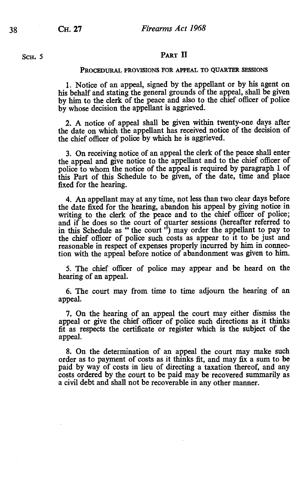#### PART II

#### PROCEDURAL PROVISIONS FOR APPEAL TO QUARTER SESSIONS

1. Notice of an appeal, signed by the appellant or by his agent on his behalf and stating the general grounds of the appeal, shall be given by him to the clerk of the peace and also to the chief officer of police by whose decision the appellant is aggrieved.

2. A notice of appeal shall be given within twenty-one days after the date on which the appellant has received notice of the decision of the chief officer of police by which he is aggrieved.

3. On receiving notice of an appeal the clerk of the peace shall enter the appeal and give notice to the appellant and to the chief officer of police to whom the notice of the appeal is required by paragraph 1 of this Part of this Schedule to be given, of the date, time and place fixed for the hearing.

4. An appellant may at any time, not less than two clear days before the date fixed for the hearing, abandon his appeal by giving notice in writing to the clerk of the peace and to the chief officer of police; and if he does so the court of quarter sessions (hereafter referred to in this Schedule as " the court ") may order the appellant to pay to the chief officer of police such costs as appear to it to be just and reasonable in respect of expenses properly incurred by him in connection with the appeal before notice of abandonment was given to him.

5. The chief officer of police may appear and be heard on the hearing of an appeal.

6. The court may from time to time adjourn the hearing of an appeal.

7. On the hearing of an appeal the court may either dismiss the appeal or give the chief officer of police such directions as it thinks fit as respects the certificate or register which is the subject of the appeal.

8. On the determination of an appeal the court may make such order as to payment of costs as it thinks fit, and may fix a sum to be paid by way of costs in lieu of directing a taxation thereof, and any costs ordered by the court to be paid may be recovered summarily as a civil debt and shall not be recoverable in any other manner.

SCH<sub>2</sub> 5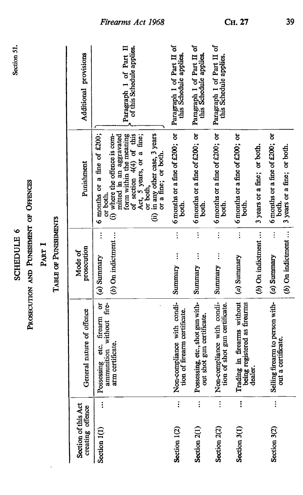Section 51. Section 51.

> **SCHEDULE 6** SCHEDULE 6

PROSECUTION AND PUNISHMENT OF OFFENCES PROSECUTION AND PUNISHMENT OF UFFENCES

## PART I

# À f

 $\checkmark$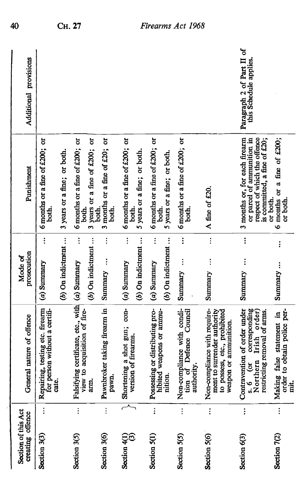| Section of this Act<br>creating offence |          | General nature of offence                                                                                                             | prosecution<br>Mode of                                                  | Punishment                                                                                                                  | Additional provisions                               |
|-----------------------------------------|----------|---------------------------------------------------------------------------------------------------------------------------------------|-------------------------------------------------------------------------|-----------------------------------------------------------------------------------------------------------------------------|-----------------------------------------------------|
| Section 3(3)                            |          | Repairing, testing etc. firearm<br>for person without a certifi-<br>cate.                                                             | $\vdots$<br>$(a)$ Summary                                               | 6 months or a fine of £200; or<br>both.                                                                                     |                                                     |
| Section 3(5)                            | $\vdots$ | Falsifying certificate, etc., with<br>view to acquisition of fire-<br>arm.                                                            | $\vdots$<br>$(b)$ On indictment<br>$(b)$ On indictment<br>$(a)$ Summary | ă<br>6 months or a fine of £200; or<br>years or a fine of £200;<br>3 years or a fine; or both.<br>bоth.<br>ო                |                                                     |
| Section 3(6)                            | $\vdots$ | Pawnbroker taking firearm in<br>pawn.                                                                                                 | $\vdots$<br>$\vdots$<br>Summary                                         | 3 months or a fine of £20; or<br>both.<br>both.                                                                             |                                                     |
| Section $4(1)$<br>$(3)$                 |          | Shortening a shot gun; con-<br>version of firearms.                                                                                   | $\vdots$<br>$(b)$ On indictment<br>(a) Summary                          | 6 months or a fine of £200; or<br>5 years or a fine; or both.<br>both.                                                      |                                                     |
| Section 5(1)                            |          | Possessing or distributing pro-<br>hibited weapons or ammu-<br>nition.                                                                | $\vdots$<br>$(b)$ On indictment<br>$(a)$ Summary                        | 6 months or a fine of £200; or<br>5 years or a fine; or both.<br>both.                                                      |                                                     |
| Section 5(5)                            |          | Non-compliance with condi-<br>tion of Defence Council<br>authority                                                                    | $\vdots$<br>$\vdots$<br>Summary                                         | 6 months or a fine of £200; or<br>both.                                                                                     |                                                     |
| Section 5(6)                            | $\vdots$ | Non-compliance with require-<br>to possess, etc., prohibited<br>ment to surrender authority<br>weapon or ammunition.                  | $\vdots$<br>$\vdots$<br>Summary                                         | A fine of £20.                                                                                                              |                                                     |
| Section 6(3)                            | $\vdots$ | Contravention of order under<br>corresponding<br>s. 6 (or corresponding<br>Northern Irish order)<br>restricting removal of arms.<br>o | $\vdots$<br>$\vdots$<br>Summary                                         | respect of which the offence<br>3 months or, for each firearm<br>is committed, a fine of £20;<br>or parcel of ammunition in | Paragraph 2 of Part II of<br>this Schedule applies. |
| Section 7(2)                            | $\vdots$ | order to obtain police per-<br>mit.<br>Making false statement in                                                                      | $\vdots$<br>Summary                                                     | 6 months or a fine of £200;<br>or both.<br>or both.                                                                         |                                                     |

40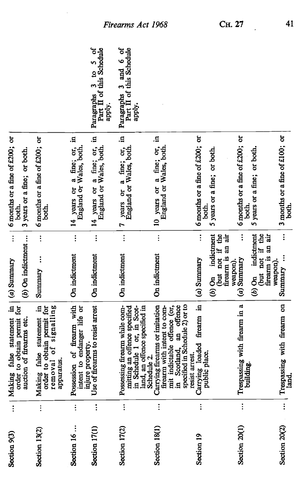| Section 9(3)              |          | taking false statement in $\mid$ ( <i>a</i> ) Summary order to obtain permit for<br>Making false statement<br>auction of firearms etc.                                     | $\vdots$<br>$(b)$ On indictment                                         | 6 months or a fine of £200; or<br>3 years or a fine; or both.<br>both. |                                                             |
|---------------------------|----------|----------------------------------------------------------------------------------------------------------------------------------------------------------------------------|-------------------------------------------------------------------------|------------------------------------------------------------------------|-------------------------------------------------------------|
| Section 13(2)             |          | Making false statement in<br>order to obtain permit for<br>removal of signalling<br>apparatus.                                                                             | $\vdots$<br>$\vdots$<br>Summary                                         | 6 months or a fine of £200; or<br>both.                                |                                                             |
| Section 16                | $\vdots$ | ossession of firearm with<br>intent to endanger life or<br>injure property.                                                                                                | $\vdots$<br>On indictment                                               | $\Xi$<br>England or Wales, both.<br>a fine; or,<br>14 years or         |                                                             |
| Section 17(1)             | $\vdots$ | Use of firearms to resist arrest                                                                                                                                           | $\vdots$<br>On indictment                                               | 14 years or a fine; or, in<br>England or Wales, both.                  | Paragraphs 3 to 5 of<br>Part II of this Schedule<br>apply.  |
| Section 17(2)             | $\vdots$ | Possessing firearm while com-<br>in Schedule 1 or, in Scot-<br>mitting an offence specified<br>land, an offence specified in<br>Schedule 2.                                | $\vdots$<br>On indictment                                               | 르.<br>7 years or a fine; or, England or Wales, both.                   | Paragraphs 3 and 6 of<br>Part II of this Schedule<br>apply. |
| Section 18(1)             | $\vdots$ | arrying firearms or imitation<br>specified in Schedule 2) or to<br>mit indictable offence (or,<br>in Scotland, an offence<br>firearm with intent to com-<br>resist arrest. | Ì<br>On indictment                                                      | .⊟<br>10 years or a fine; or,<br>England or Wales, both.               |                                                             |
| Section 19                | $\vdots$ | Carrying loaded firearm in<br>public place.                                                                                                                                | $\vdots$<br>$(a)$ Summary                                               | 6 months or a fine of £200; or<br>both.                                |                                                             |
|                           |          |                                                                                                                                                                            | (but not if the<br>$(b)$ On indictment<br>firearm is an air<br>weapon). | 5 years or a fine; or both.                                            |                                                             |
| Section 20(1)             | $\vdots$ | Trespassing with firearm in a<br>building.                                                                                                                                 | $\vdots$<br>$(a)$ Summary                                               | 6 months or a fine of £200; or<br>bot <mark>h</mark> .                 |                                                             |
|                           |          |                                                                                                                                                                            | (but not if the<br>$(b)$ On indictment<br>firearm is an air<br>weapon). | 5 years or a fine; or both.                                            |                                                             |
| Section 20 <sub>(2)</sub> | $\vdots$ | Trespassing with firearm on<br>land.                                                                                                                                       | $\vdots$<br>Summary                                                     | 3 months or a fine of £100; or<br>both.                                |                                                             |

Firearms Act 1968

 $\bar{1}$ 

CH. 27

41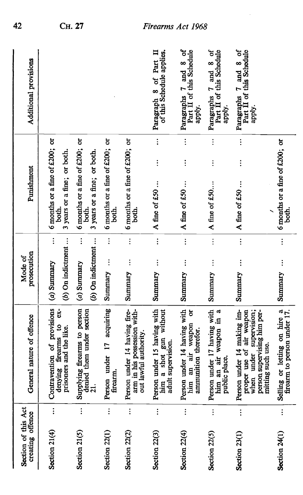| Section of this Act<br>creating offence |          | General nature of offence                                                                                                             | prosecution<br>Mode of                           | Punishment                                                             | Additional provisions                                       |
|-----------------------------------------|----------|---------------------------------------------------------------------------------------------------------------------------------------|--------------------------------------------------|------------------------------------------------------------------------|-------------------------------------------------------------|
| Section 21(4)                           | $\vdots$ | Contravention of provisions<br>ĊX.<br>$\mathbf{c}$<br>prisoners and the like.<br>denying firearms                                     | $\vdots$<br>$(b)$ On indictment<br>$(a)$ Summary | 6 months or a fine of £200; or<br>3 years or a fine; or both.<br>both. |                                                             |
| Section 21(5)                           | $\vdots$ | Supplying firearms to person<br>denied them under section<br>21.                                                                      | $\vdots$<br>$(b)$ On indictment<br>$(a)$ Summary | 6 months or a fine of £200; or<br>3 years or a fine; or both.<br>both. |                                                             |
| Section 22(1)                           | $\vdots$ | Person under 17 acquiring<br>firearm.                                                                                                 | $\vdots$<br>$\vdots$<br>Summary                  | 6 months or a fine of £200; or<br>both.                                |                                                             |
| Section 22(2)                           | $\vdots$ | Person under 14 having fire-<br>arm in his possession with-<br>out lawful authority.                                                  | $\vdots$<br>$\ddot{\ddot{\cdot}}$<br>Summary     | 6 months or a fine of £200; or<br>both.                                |                                                             |
| Section 22(3)                           | $\vdots$ | Person under 15 having with<br>a shot gun without<br>adult supervision.<br>him                                                        | $\vdots$<br>$\vdots$<br>Summary                  | $\vdots$<br>$\vdots$<br>A fine of £50                                  | of this Schedule applies.<br>Paragraph 8 of Part II         |
| Section 22(4)                           | $\vdots$ | Person under 14 having with<br>đ<br>him an air weapon<br>ammunition therefor.                                                         | $\vdots$<br>$\vdots$<br>Summary                  | $\vdots$<br>$\vdots$<br>A fine of £50                                  | Paragraphs 7 and 8 of<br>Part II of this Schedule<br>apply. |
| Section 22(5)                           | $\vdots$ | Person under 17 having with<br>him an air weapon in a<br>an air weapon in a<br>public place.                                          | $\overline{\phantom{a}}$<br>$\vdots$<br>Summary  | $\vdots$<br>$\vdots$<br>A fine of £50                                  | Part II of this Schedule<br>Paragraphs 7 and 8 of<br>apply. |
| Section 23(1)                           | $\vdots$ | Person under 14 making im-<br>proper use of air weapon<br>when under supervision;<br>person supervising him per-<br>mitting such use. | $\vdots$<br>$\vdots$<br>Summary                  | $\vdots$<br>$\vdots$<br>A fine of £50                                  | Paragraphs 7 and 8 of<br>Part II of this Schedule<br>apply. |
| Section 24(1)                           | $\vdots$ | Selling or letting on hire a<br>firearm to person under 17.                                                                           | $\vdots$<br>Summary                              | 6 months or a fine of £200; or<br>both.                                |                                                             |

 $\bar{z}$ 

42

CH. 27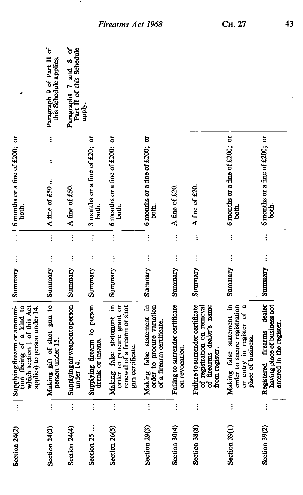|                                                                                                                         | Paragraph 9 of Part II of<br>this Schedule applies. | Paragraphs 7 and 8 of<br>Part II of this Schedule<br>apply. |                                                 |                                                                                                            |                                                                                      |                                                   |                                                                                                              |                                                                                                                              |                                                                                        |
|-------------------------------------------------------------------------------------------------------------------------|-----------------------------------------------------|-------------------------------------------------------------|-------------------------------------------------|------------------------------------------------------------------------------------------------------------|--------------------------------------------------------------------------------------|---------------------------------------------------|--------------------------------------------------------------------------------------------------------------|------------------------------------------------------------------------------------------------------------------------------|----------------------------------------------------------------------------------------|
| 6 months or a fine of £200; or<br>both.                                                                                 | $\vdots$<br>$\vdots$<br>A fine of £50               | A fine of £50.                                              | 3 months or a fine of £20; or<br>both.          | 6 months or a fine of £200; or<br>both.                                                                    | 6 months or a fine of £200; or<br>both.                                              | A fine of £20.                                    | A fine of $£20$ .                                                                                            | 6 months or a fine of £200; or<br>both.                                                                                      | 6 months or a fine of £200; or<br>both.                                                |
| $\vdots$                                                                                                                | $\vdots$                                            | ł                                                           | $\vdots$                                        | $\vdots$                                                                                                   | $\vdots$                                                                             | $\ddot{\phantom{a}}$                              | $\vdots$                                                                                                     | $\vdots$                                                                                                                     | $\vdots$                                                                               |
|                                                                                                                         |                                                     | $\vdots$                                                    | $\vdots$                                        |                                                                                                            |                                                                                      |                                                   | $\vdots$                                                                                                     | ì                                                                                                                            | $\vdots$                                                                               |
| Summary                                                                                                                 | Summary                                             | Summary                                                     | Summary                                         | Summary                                                                                                    | Summary                                                                              | Summary                                           | Summary                                                                                                      | Summary                                                                                                                      | Summary                                                                                |
| Supplying firearm or ammuni-<br>tion (being of a kind to<br>which section 1 of this Act<br>applies) to person under 14. | Making gift of shot gun to<br>person under 15.      | Supplying air weapontoperson<br>under 14.                   | Supplying firearm to person<br>drunk or insane. | faking false statement in<br>order to procure grant or<br>renewal of a firearm or shot<br>gun certificate. | Making false statement in<br>order to procure variation<br>of a firearm certificate. | ailing to surrender certificate<br>on revocation. | ailure to surrender certificate<br>of firearms dealer's name<br>of registration on removal<br>from register. | Aaking false statement in<br>$\mathfrak{a}$<br>order to secure registration<br>or entry in register of<br>place of business. | Registered firearms dealer<br>having place of business not<br>entered in the register. |
| $\vdots$                                                                                                                | $\vdots$                                            |                                                             | $\vdots$                                        |                                                                                                            |                                                                                      |                                                   | $\vdots$                                                                                                     | $\vdots$                                                                                                                     | $\vdots$                                                                               |
| Section 24(2)                                                                                                           | Section 24(3)                                       | Section 24(4)                                               | Section 25                                      | Section 26(5)                                                                                              | Section 29(3)                                                                        | Section 30(4)                                     | Section 38(8)                                                                                                | Section 39(1)                                                                                                                | Section 39(2)                                                                          |

 $\sim$ 

 $\mathcal{F}$ 

43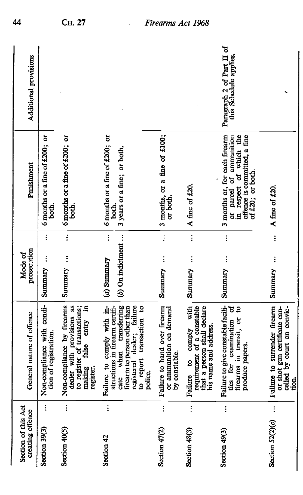| Section of this Act<br>creating offence |          | General nature of offence                                                                                                                                                                                                           | prosecution<br>Mode of                           | Punishment                                                                                                                                | Additional provisions                               |
|-----------------------------------------|----------|-------------------------------------------------------------------------------------------------------------------------------------------------------------------------------------------------------------------------------------|--------------------------------------------------|-------------------------------------------------------------------------------------------------------------------------------------------|-----------------------------------------------------|
| Section 39(3)                           | $\vdots$ | Non-compliance with condi-<br>tion of registration.                                                                                                                                                                                 | $\vdots$<br>Summary                              | 6 months or a fine of £200; or<br>.<br>both                                                                                               |                                                     |
| Section 40(5)                           | $\vdots$ | Non-compliance by firearms<br>to register of transactions;<br>dealer with provisions as<br>$\ddot{=}$<br>false entry<br>making<br>register.                                                                                         | $\vdots$<br>$\vdots$<br>Summary                  | 6 months or a fine of £200; or<br>both.                                                                                                   |                                                     |
| Section 42                              | $\vdots$ | Failure to comply with in-<br>when transferring<br>structions in firearm certifi-<br>dealer; failure<br>transaction to<br>cate when transferring<br>firearm to person other than<br>report<br>registered<br>police.<br>$\mathbf{c}$ | $\vdots$<br>$(b)$ On indictment<br>$(a)$ Summary | 6 months or a fine of £200; or<br>3 years or a fine; or both.<br>both.                                                                    |                                                     |
| Section 47(2)                           | $\vdots$ | Failure to hand over firearm<br>or ammunition on demand<br>by constable.                                                                                                                                                            | $\vdots$<br>Summary                              | 3 months, or a fine of £100;<br>or both.                                                                                                  |                                                     |
| Section 48(3)                           | $\vdots$ | comply with<br>requirement of a constable<br>that a person shall declare<br>his name and address.<br>Failure to                                                                                                                     | $\vdots$<br>Summary                              | A fine of £20.                                                                                                                            |                                                     |
| Section 49(3)                           | $\vdots$ | Failure to give constable facili-<br>for examination of<br>$\boldsymbol{S}$<br>ties for examination<br>firearms in transit, or<br>produce papers.                                                                                   | $\vdots$<br>Summary                              | in respect of which the<br>3 months or, for each firearm<br>offence is committed, a fine<br>or parcel of ammunition<br>of $£20$ ; or both | Paragraph 2 of Part II of<br>this Schedule applies. |
| Section 52(2)(c)                        |          | Failure to surrender firearm<br>or shot gun certificate can-<br>celled by court on convic-<br>tion.                                                                                                                                 | $\vdots$<br>$\vdots$<br>Summary                  | A fine of £20.                                                                                                                            |                                                     |

C<sub>H</sub>. 27

44

 $\bar{\mathcal{A}}$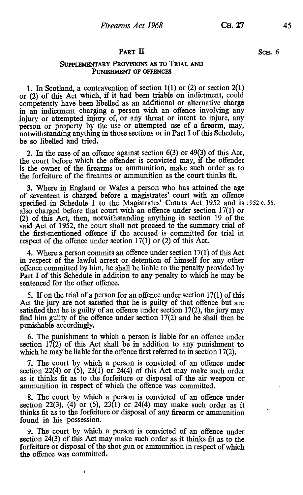#### PART II

#### SUPPLEMENTARY PROVISIONS AS TO TRIAL AND PUNISHMENT OF OFFENCES

1. In Scotland, a contravention of section 1(1) or (2) or section 2(1) or (2) of this Act which, if it had been triable on indictment, could competently have been libelled as an additional or alternative charge in an indictment charging a person with an offence involving any injury or attempted injury of, or any threat or intent to injure, any person or property by the use or attempted use of a firearm, may, notwithstanding anything in those sections or in Part I of this Schedule, be so libelled and tried.

2. In the case of an offence against section 6(3) or 49(3) of this Act, the court before which the offender is convicted may, if the offender is the owner of the firearms or ammunition, make such order as to the forfeiture of the firearms or ammunition as the court thinks fit.

3. Where in England or Wales a person who has attained the age of seventeen is charged before a magistrates' court with an offence specified in Schedule 1 to the Magistrates' Courts Act 1952 and is 1952 c. 55. also charged before that court with an offence under section 17(1) or (2) of this Act, then, notwithstanding anything in section 19 of the said Act of 1952, the court shall not proceed to the summary trial of the first-mentioned offence if the accused is committed for trial in respect of the offence under section 17(1) or (2) of this Act.

4. Where a person commits an offence under section 17(1) of this Act in respect of the lawful arrest or detention of himself for any other offence committed by him, he shall be liable to the penalty provided by Part I of this Schedule in addition to any penalty to which he may be sentenced for the other offence.

5. If on the trial of a person for an offence under section 17(1) of this Act the jury are not satisfied that he is guilty of that offence but are satisfied that he is guilty of an offence under section 17(2), the jury may find him guilty of the offence under section 17(2) and he shall then be punishable accordingly.

6. The punishment to which a person is liable for an offence under section  $17(2)$  of this Act shall be in addition to any punishment to which he may be liable for the offence first referred to in section 17(2).

7. The court by which a person is convicted of an offence under section 22(4) or  $(5)$ , 23(1) or 24(4) of this Act may make such order as it thinks fit as to the forfeiture or disposal of the air weapon or ammunition in respect of which the offence was committed.

8. The court by which a person is convicted of an offence under section 22(3), (4) or (5), 23(1) or 24(4) may make such order as it thinks fit as to the forfeiture or disposal of any firearm or ammunition found in his possession.

9. The court by which a person is convicted of an offence under section 24(3) of this Act may make such order as it thinks fit as to the forfeiture or disposal of the shot gun or ammunition in respect of which the offence was committed.

j.